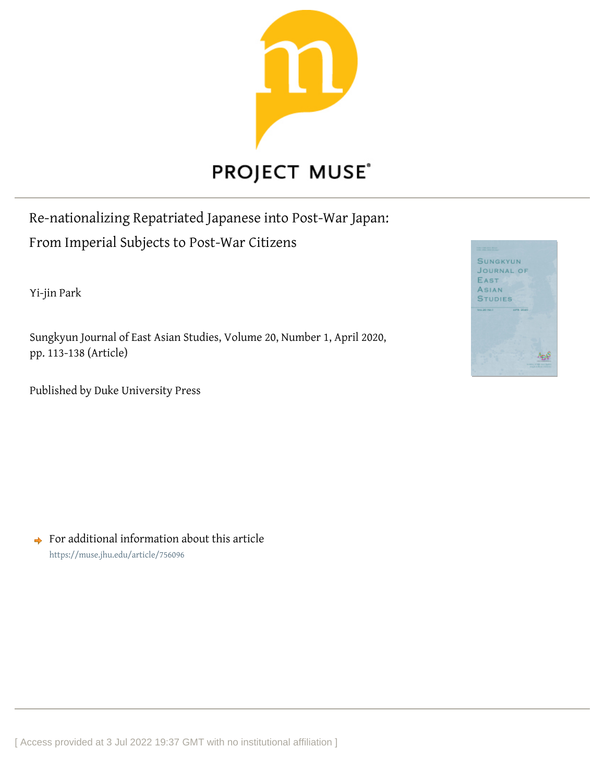

# **PROJECT MUSE®**

Re-nationalizing Repatriated Japanese into Post-War Japan: From Imperial Subjects to Post-War Citizens

Yi-jin Park

Sungkyun Journal of East Asian Studies, Volume 20, Number 1, April 2020, pp. 113-138 (Article)

Published by Duke University Press



 $\rightarrow$  For additional information about this article <https://muse.jhu.edu/article/756096>

[ Access provided at 3 Jul 2022 19:37 GMT with no institutional affiliation ]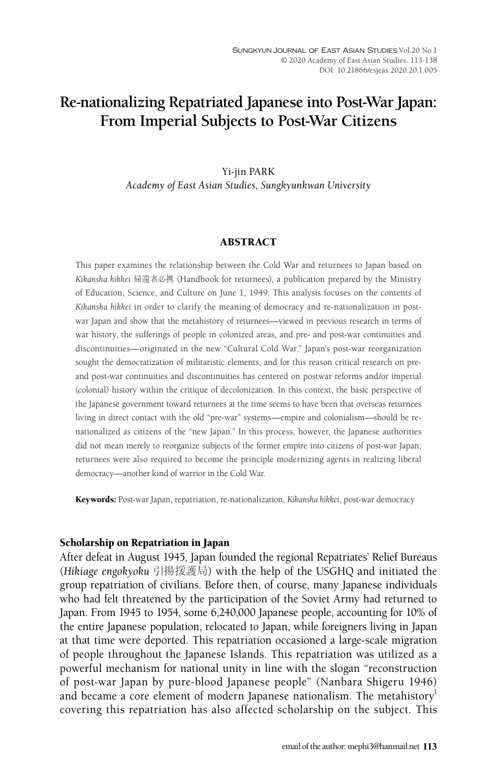# **Re-nationalizing Repatriated Japanese into Post-War Japan: From Imperial Subjects to Post-War Citizens**

# Yi-jin PARK *Academy of East Asian Studies, Sungkyunkwan University*

#### ABSTRACT

This paper examines the relationship between the Cold War and returnees to Japan based on *Kikansha hikkei* 帰還者必携 (Handbook for returnees), a publication prepared by the Ministry of Education, Science, and Culture on June 1, 1949. This analysis focuses on the contents of *Kikansha hikkei* in order to clarify the meaning of democracy and re-nationalization in postwar Japan and show that the metahistory of returnees—viewed in previous research in terms of war history, the sufferings of people in colonized areas, and pre- and post-war continuities and discontinuities—originated in the new "Cultural Cold War." Japan's post-war reorganization sought the democratization of militaristic elements, and for this reason critical research on preand post-war continuities and discontinuities has centered on postwar reforms and/or imperial (colonial) history within the critique of decolonization. In this context, the basic perspective of the Japanese government toward returnees at the time seems to have been that overseas returnees living in direct contact with the old "pre-war" systems—empire and colonialism—should be renationalized as citizens of the "new Japan." In this process, however, the Japanese authorities did not mean merely to reorganize subjects of the former empire into citizens of post-war Japan; returnees were also required to become the principle modernizing agents in realizing liberal democracy—another kind of warrior in the Cold War.

Keywords: Post-war Japan, repatriation, re-nationalization, *Kikansha hikkei*, post-war democracy

#### Scholarship on Repatriation in Japan

After defeat in August 1945, Japan founded the regional Repatriates' Relief Bureaus (*Hikiage engokyoku* 引揚援護局) with the help of the USGHQ and initiated the group repatriation of civilians. Before then, of course, many Japanese individuals who had felt threatened by the participation of the Soviet Army had returned to Japan. From 1945 to 1954, some 6,240,000 Japanese people, accounting for 10% of the entire Japanese population, relocated to Japan, while foreigners living in Japan at that time were deported. This repatriation occasioned a large-scale migration of people throughout the Japanese Islands. This repatriation was utilized as a powerful mechanism for national unity in line with the slogan "reconstruction of post-war Japan by pure-blood Japanese people" (Nanbara Shigeru 1946) and became a core element of modern Japanese nationalism. The metahistory<sup>1</sup> covering this repatriation has also affected scholarship on the subject. This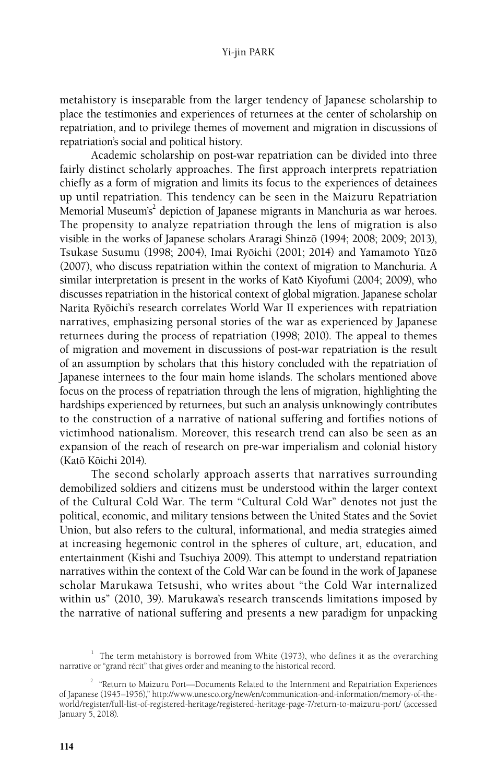metahistory is inseparable from the larger tendency of Japanese scholarship to place the testimonies and experiences of returnees at the center of scholarship on repatriation, and to privilege themes of movement and migration in discussions of repatriation's social and political history.

Academic scholarship on post-war repatriation can be divided into three fairly distinct scholarly approaches. The first approach interprets repatriation chiefly as a form of migration and limits its focus to the experiences of detainees up until repatriation. This tendency can be seen in the Maizuru Repatriation Memorial Museum's<sup>2</sup> depiction of Japanese migrants in Manchuria as war heroes. The propensity to analyze repatriation through the lens of migration is also visible in the works of Japanese scholars Araragi Shinzō (1994; 2008; 2009; 2013), Tsukase Susumu (1998; 2004), Imai Ryōichi (2001; 2014) and Yamamoto Yūzō (2007), who discuss repatriation within the context of migration to Manchuria. A similar interpretation is present in the works of Katō Kiyofumi (2004; 2009), who discusses repatriation in the historical context of global migration. Japanese scholar Narita Ryōichi's research correlates World War II experiences with repatriation narratives, emphasizing personal stories of the war as experienced by Japanese returnees during the process of repatriation (1998; 2010). The appeal to themes of migration and movement in discussions of post-war repatriation is the result of an assumption by scholars that this history concluded with the repatriation of Japanese internees to the four main home islands. The scholars mentioned above focus on the process of repatriation through the lens of migration, highlighting the hardships experienced by returnees, but such an analysis unknowingly contributes to the construction of a narrative of national suffering and fortifies notions of victimhood nationalism. Moreover, this research trend can also be seen as an expansion of the reach of research on pre-war imperialism and colonial history (Katoˉ Koˉichi 2014).

The second scholarly approach asserts that narratives surrounding demobilized soldiers and citizens must be understood within the larger context of the Cultural Cold War. The term "Cultural Cold War" denotes not just the political, economic, and military tensions between the United States and the Soviet Union, but also refers to the cultural, informational, and media strategies aimed at increasing hegemonic control in the spheres of culture, art, education, and entertainment (Kishi and Tsuchiya 2009). This attempt to understand repatriation narratives within the context of the Cold War can be found in the work of Japanese scholar Marukawa Tetsushi, who writes about "the Cold War internalized within us" (2010, 39). Marukawa's research transcends limitations imposed by the narrative of national suffering and presents a new paradigm for unpacking

 $1$  The term metahistory is borrowed from White (1973), who defines it as the overarching narrative or "grand récit" that gives order and meaning to the historical record.

<sup>2</sup> "Return to Maizuru Port—Documents Related to the Internment and Repatriation Experiences of Japanese (1945–1956)," http://www.unesco.org/new/en/communication-and-information/memory-of-theworld/register/full-list-of-registered-heritage/registered-heritage-page-7/return-to-maizuru-port/ (accessed January 5, 2018).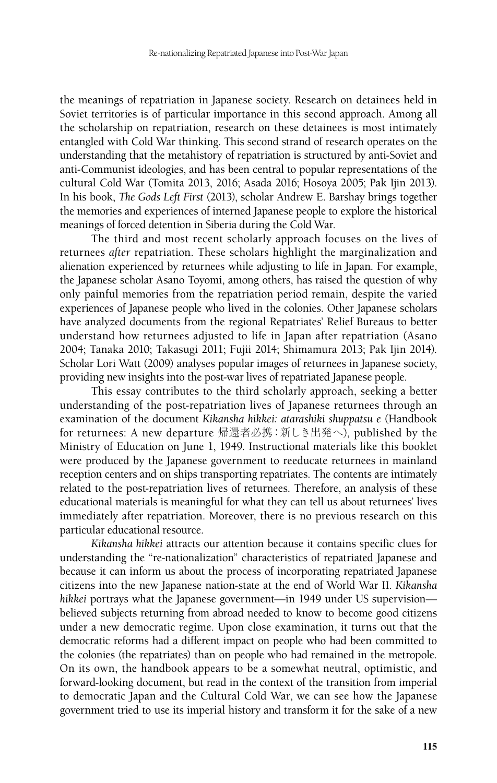the meanings of repatriation in Japanese society. Research on detainees held in Soviet territories is of particular importance in this second approach. Among all the scholarship on repatriation, research on these detainees is most intimately entangled with Cold War thinking. This second strand of research operates on the understanding that the metahistory of repatriation is structured by anti-Soviet and anti-Communist ideologies, and has been central to popular representations of the cultural Cold War (Tomita 2013, 2016; Asada 2016; Hosoya 2005; Pak Ijin 2013). In his book, *The Gods Left First* (2013), scholar Andrew E. Barshay brings together the memories and experiences of interned Japanese people to explore the historical meanings of forced detention in Siberia during the Cold War.

The third and most recent scholarly approach focuses on the lives of returnees *after* repatriation. These scholars highlight the marginalization and alienation experienced by returnees while adjusting to life in Japan. For example, the Japanese scholar Asano Toyomi, among others, has raised the question of why only painful memories from the repatriation period remain, despite the varied experiences of Japanese people who lived in the colonies. Other Japanese scholars have analyzed documents from the regional Repatriates' Relief Bureaus to better understand how returnees adjusted to life in Japan after repatriation (Asano 2004; Tanaka 2010; Takasugi 2011; Fujii 2014; Shimamura 2013; Pak Ijin 2014). Scholar Lori Watt (2009) analyses popular images of returnees in Japanese society, providing new insights into the post-war lives of repatriated Japanese people.

This essay contributes to the third scholarly approach, seeking a better understanding of the post-repatriation lives of Japanese returnees through an examination of the document *Kikansha hikkei: atarashiki shuppatsu e* (Handbook for returnees: A new departure 帰還者必携:新しき出発へ), published by the Ministry of Education on June 1, 1949. Instructional materials like this booklet were produced by the Japanese government to reeducate returnees in mainland reception centers and on ships transporting repatriates. The contents are intimately related to the post-repatriation lives of returnees. Therefore, an analysis of these educational materials is meaningful for what they can tell us about returnees' lives immediately after repatriation. Moreover, there is no previous research on this particular educational resource.

*Kikansha hikkei* attracts our attention because it contains specific clues for understanding the "re-nationalization" characteristics of repatriated Japanese and because it can inform us about the process of incorporating repatriated Japanese citizens into the new Japanese nation-state at the end of World War II. *Kikansha hikkei* portrays what the Japanese government—in 1949 under US supervision believed subjects returning from abroad needed to know to become good citizens under a new democratic regime. Upon close examination, it turns out that the democratic reforms had a different impact on people who had been committed to the colonies (the repatriates) than on people who had remained in the metropole. On its own, the handbook appears to be a somewhat neutral, optimistic, and forward-looking document, but read in the context of the transition from imperial to democratic Japan and the Cultural Cold War, we can see how the Japanese government tried to use its imperial history and transform it for the sake of a new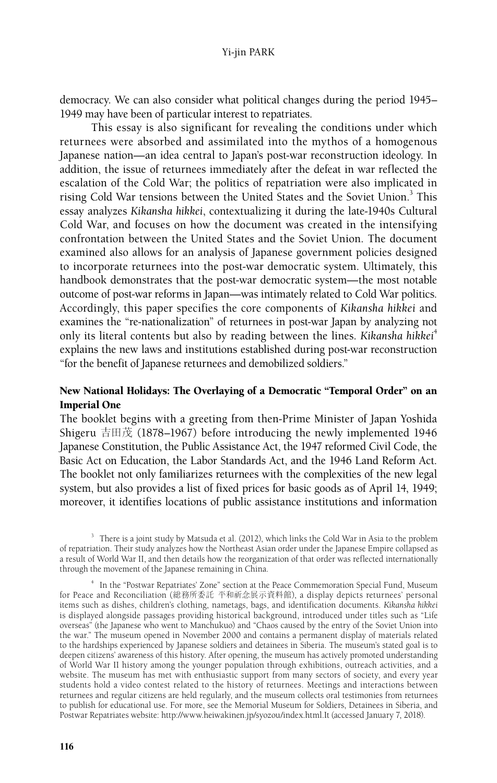democracy. We can also consider what political changes during the period 1945– 1949 may have been of particular interest to repatriates.

This essay is also significant for revealing the conditions under which returnees were absorbed and assimilated into the mythos of a homogenous Japanese nation—an idea central to Japan's post-war reconstruction ideology. In addition, the issue of returnees immediately after the defeat in war reflected the escalation of the Cold War; the politics of repatriation were also implicated in rising Cold War tensions between the United States and the Soviet Union.<sup>3</sup> This essay analyzes *Kikansha hikkei*, contextualizing it during the late-1940s Cultural Cold War, and focuses on how the document was created in the intensifying confrontation between the United States and the Soviet Union. The document examined also allows for an analysis of Japanese government policies designed to incorporate returnees into the post-war democratic system. Ultimately, this handbook demonstrates that the post-war democratic system—the most notable outcome of post-war reforms in Japan—was intimately related to Cold War politics. Accordingly, this paper specifies the core components of *Kikansha hikkei* and examines the "re-nationalization" of returnees in post-war Japan by analyzing not only its literal contents but also by reading between the lines. *Kikansha hikkei<sup>4</sup>* explains the new laws and institutions established during post-war reconstruction "for the benefit of Japanese returnees and demobilized soldiers."

# New National Holidays: The Overlaying of a Democratic "Temporal Order" on an Imperial One

The booklet begins with a greeting from then-Prime Minister of Japan Yoshida Shigeru 吉田茂 (1878–1967) before introducing the newly implemented 1946 Japanese Constitution, the Public Assistance Act, the 1947 reformed Civil Code, the Basic Act on Education, the Labor Standards Act, and the 1946 Land Reform Act. The booklet not only familiarizes returnees with the complexities of the new legal system, but also provides a list of fixed prices for basic goods as of April 14, 1949; moreover, it identifies locations of public assistance institutions and information

<sup>3</sup> There is a joint study by Matsuda et al. (2012), which links the Cold War in Asia to the problem of repatriation. Their study analyzes how the Northeast Asian order under the Japanese Empire collapsed as a result of World War II, and then details how the reorganization of that order was reflected internationally through the movement of the Japanese remaining in China.

<sup>4</sup> In the "Postwar Repatriates' Zone" section at the Peace Commemoration Special Fund, Museum for Peace and Reconciliation (総務所委託 平和祈念展示資料館), a display depicts returnees' personal items such as dishes, children's clothing, nametags, bags, and identification documents. *Kikansha hikkei* is displayed alongside passages providing historical background, introduced under titles such as "Life overseas" (the Japanese who went to Manchukuo) and "Chaos caused by the entry of the Soviet Union into the war." The museum opened in November 2000 and contains a permanent display of materials related to the hardships experienced by Japanese soldiers and detainees in Siberia. The museum's stated goal is to deepen citizens' awareness of this history. After opening, the museum has actively promoted understanding of World War II history among the younger population through exhibitions, outreach activities, and a website. The museum has met with enthusiastic support from many sectors of society, and every year students hold a video contest related to the history of returnees. Meetings and interactions between returnees and regular citizens are held regularly, and the museum collects oral testimonies from returnees to publish for educational use. For more, see the Memorial Museum for Soldiers, Detainees in Siberia, and Postwar Repatriates website: http://www.heiwakinen.jp/syozou/index.html.It (accessed January 7, 2018).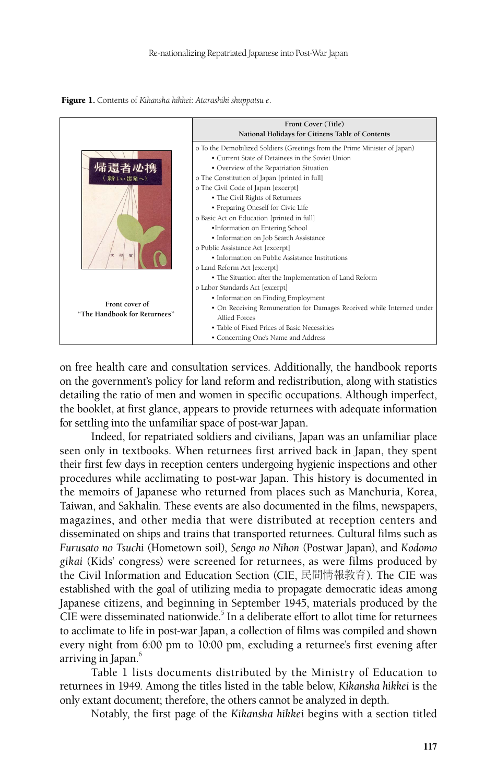

Figure 1. Contents of *Kikansha hikkei*: *Atarashiki shuppatsu e*.

on free health care and consultation services. Additionally, the handbook reports on the government's policy for land reform and redistribution, along with statistics detailing the ratio of men and women in specific occupations. Although imperfect, the booklet, at first glance, appears to provide returnees with adequate information for settling into the unfamiliar space of post-war Japan.

Indeed, for repatriated soldiers and civilians, Japan was an unfamiliar place seen only in textbooks. When returnees first arrived back in Japan, they spent their first few days in reception centers undergoing hygienic inspections and other procedures while acclimating to post-war Japan. This history is documented in the memoirs of Japanese who returned from places such as Manchuria, Korea, Taiwan, and Sakhalin. These events are also documented in the films, newspapers, magazines, and other media that were distributed at reception centers and disseminated on ships and trains that transported returnees. Cultural films such as *Furusato no Tsuchi* (Hometown soil), *Sengo no Nihon* (Postwar Japan), and *Kodomo gikai* (Kids' congress) were screened for returnees, as were films produced by the Civil Information and Education Section (CIE, 民間情報教育). The CIE was established with the goal of utilizing media to propagate democratic ideas among Japanese citizens, and beginning in September 1945, materials produced by the CIE were disseminated nationwide.<sup>5</sup> In a deliberate effort to allot time for returnees to acclimate to life in post-war Japan, a collection of films was compiled and shown every night from 6:00 pm to 10:00 pm, excluding a returnee's first evening after arriving in Japan.<sup>6</sup>

Table 1 lists documents distributed by the Ministry of Education to returnees in 1949. Among the titles listed in the table below, *Kikansha hikkei* is the only extant document; therefore, the others cannot be analyzed in depth.

Notably, the first page of the *Kikansha hikkei* begins with a section titled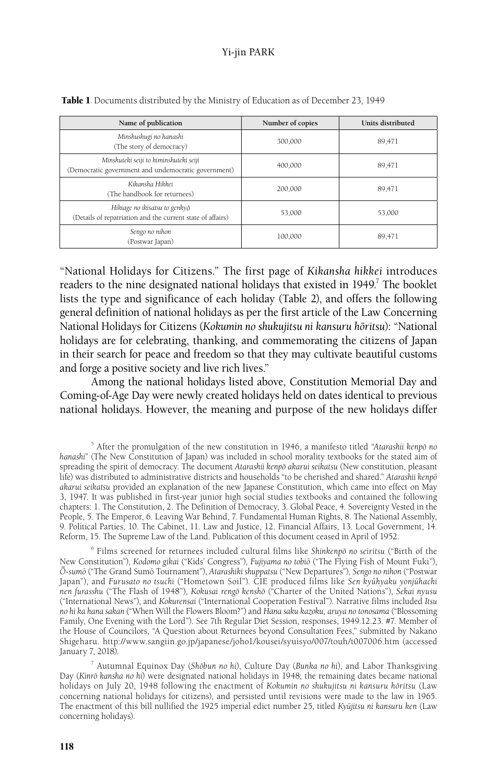| Name of publication                                                                           | Number of copies | Units distributed |  |
|-----------------------------------------------------------------------------------------------|------------------|-------------------|--|
| Minshushugi no hanashi<br>(The story of democracy)                                            | 300.000          | 89,471            |  |
| Minshuteki seiji to himinshuteki seiji<br>(Democratic government and undemocratic government) | 400.000          | 89,471            |  |
| Kikansha Hikkei<br>(The handbook for returnees)                                               | 200.000          | 89,471            |  |
| Hikiage no ikisatsu to genkyō<br>(Details of repatriation and the current state of affairs)   | 53,000           | 53,000            |  |
| Sengo no nihon<br>(Postwar Japan)                                                             | 100.000          | 89,471            |  |

Table 1. Documents distributed by the Ministry of Education as of December 23, 1949

"National Holidays for Citizens." The first page of *Kikansha hikkei* introduces readers to the nine designated national holidays that existed in 1949.<sup>7</sup> The booklet lists the type and significance of each holiday (Table 2), and offers the following general definition of national holidays as per the first article of the Law Concerning National Holidays for Citizens (*Kokumin no shukujitsu ni kansuru hoˉritsu*): "National holidays are for celebrating, thanking, and commemorating the citizens of Japan in their search for peace and freedom so that they may cultivate beautiful customs and forge a positive society and live rich lives."

Among the national holidays listed above, Constitution Memorial Day and Coming-of-Age Day were newly created holidays held on dates identical to previous national holidays. However, the meaning and purpose of the new holidays differ

5 After the promulgation of the new constitution in 1946, a manifesto titled "*Atarashii kenpoˉ no hanashi*" (The New Constitution of Japan) was included in school morality textbooks for the stated aim of spreading the spirit of democracy. The document *Atarashii kenpō akarui seikatsu* (New constitution, pleasant life) was distributed to administrative districts and households "to be cherished and shared." *Atarashii kenpō akarui seikatsu* provided an explanation of the new Japanese Constitution, which came into effect on May 3, 1947. It was published in first-year junior high social studies textbooks and contained the following chapters: 1. The Constitution, 2. The Definition of Democracy, 3. Global Peace, 4. Sovereignty Vested in the People, 5. The Emperor, 6. Leaving War Behind, 7. Fundamental Human Rights, 8. The National Assembly, 9. Political Parties, 10. The Cabinet, 11. Law and Justice, 12. Financial Affairs, 13. Local Government, 14. Reform, 15. The Supreme Law of the Land. Publication of this document ceased in April of 1952.

6 Films screened for returnees included cultural films like *Shinkenpoˉ no seiritsu* ("Birth of the New Constitution"), *Kodomo gikai* ("Kids' Congress"), *Fujiyama no tobioˉ* ("The Flying Fish of Mount Fuki"), *Oˉ -sumoˉ* ("The Grand Sumoˉ Tournament"), *Atarashiki shuppatsu* ("New Departures"), *Sengo no nihon* ("Postwar Japan"), and *Furusato no tsuchi* ("Hometown Soil"). CIE produced films like *Sen kyūhyaku yonjūhachi nen furasshu* ("The Flash of 1948"), *Kokusai rengoˉ kenshoˉ* ("Charter of the United Nations"), *Sekai nyusu* ("International News"), and *Kokurensai* ("International Cooperation Festival"). Narrative films included *Itsu no hi ka hana sakan* ("When Will the Flowers Bloom?") and *Hana saku kazoku, aruya no tonosama* ("Blossoming Family, One Evening with the Lord"). See 7th Regular Diet Session, responses, 1949.12.23. #7. Member of the House of Councilors, "A Question about Returnees beyond Consultation Fees," submitted by Nakano Shigeharu. http://www.sangiin.go.jp/japanese/joho1/kousei/syuisyo/007/touh/t007006.htm (accessed January 7, 2018).

<sup>7</sup> Autumnal Equinox Day (Shōbun no hi), Culture Day (Bunka no hi), and Labor Thanksgiving Day (*Kinroˉ kansha no hi*) were designated national holidays in 1948; the remaining dates became national holidays on July 20, 1948 following the enactment of *Kokumin no shukujitsu ni kansuru hoˉritsu* (Law concerning national holidays for citizens), and persisted until revisions were made to the law in 1965. The enactment of this bill nullified the 1925 imperial edict number 25, titled *Kyuˉjitsu ni kansuru ken* (Law concerning holidays).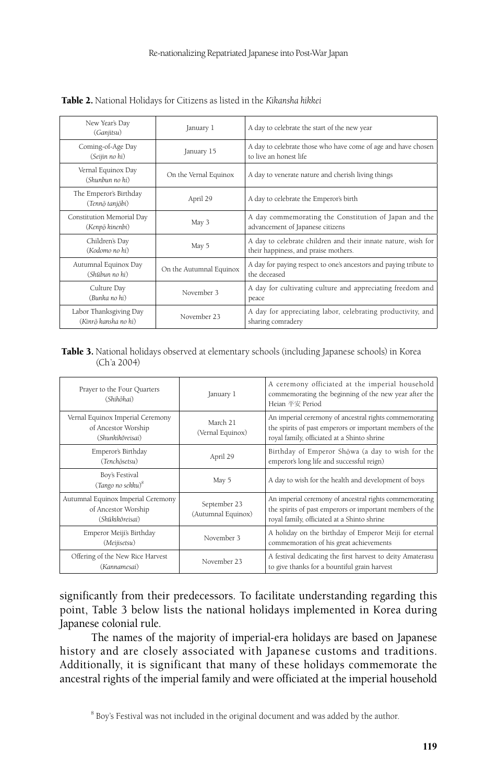|                                                                                                                          | New Year's Day<br>(Ganjitsu)                 | January 1               | A day to celebrate the start of the new year                                                          |  |
|--------------------------------------------------------------------------------------------------------------------------|----------------------------------------------|-------------------------|-------------------------------------------------------------------------------------------------------|--|
|                                                                                                                          | Coming-of-Age Day<br>(Seijin no hi)          | January 15              | A day to celebrate those who have come of age and have chosen<br>to live an honest life               |  |
|                                                                                                                          | Vernal Equinox Day<br>(Shunbun no hi)        | On the Vernal Equinox   | A day to venerate nature and cherish living things                                                    |  |
|                                                                                                                          | The Emperor's Birthday<br>(Tennō tanjōbi)    | April 29                | A day to celebrate the Emperor's birth                                                                |  |
|                                                                                                                          | Constitution Memorial Day<br>(Kenpō kinenbi) | May 3                   | A day commemorating the Constitution of Japan and the<br>advancement of Japanese citizens             |  |
|                                                                                                                          | Children's Day<br>(Kodomo no hi)             | May 5                   | A day to celebrate children and their innate nature, wish for<br>their happiness, and praise mothers. |  |
| Autumnal Equinox Day<br>(Shūbun no hi)<br>Culture Day<br>(Bunka no hi)<br>Labor Thanksgiving Day<br>(Kinrō kansha no hi) |                                              | On the Autumnal Equinox | A day for paying respect to one's ancestors and paying tribute to<br>the deceased                     |  |
|                                                                                                                          |                                              | November 3              | A day for cultivating culture and appreciating freedom and<br>peace                                   |  |
|                                                                                                                          |                                              | November 23             | A day for appreciating labor, celebrating productivity, and<br>sharing comradery                      |  |

Table 2. National Holidays for Citizens as listed in the *Kikansha hikkei*

#### Table 3. National holidays observed at elementary schools (including Japanese schools) in Korea (Ch'a 2004)

| Prayer to the Four Quarters<br>(Shihōhai)                                    | January 1                          | A ceremony officiated at the imperial household<br>commemorating the beginning of the new year after the<br>Heian 平安 Period                                       |  |  |
|------------------------------------------------------------------------------|------------------------------------|-------------------------------------------------------------------------------------------------------------------------------------------------------------------|--|--|
| Vernal Equinox Imperial Ceremony<br>of Ancestor Worship<br>(Shunkikoreisai)  | March 21<br>(Vernal Equinox)       | An imperial ceremony of ancestral rights commemorating<br>the spirits of past emperors or important members of the<br>royal family, officiated at a Shinto shrine |  |  |
| Emperor's Birthday<br>(Tenchōsetsu)                                          | April 29                           | Birthday of Emperor Shōwa (a day to wish for the<br>emperor's long life and successful reign)                                                                     |  |  |
| Boy's Festival<br>(Tango no sekku) <sup>8</sup>                              | May 5                              | A day to wish for the health and development of boys                                                                                                              |  |  |
| Autumnal Equinox Imperial Ceremony<br>of Ancestor Worship<br>(Shūkikōreisai) | September 23<br>(Autumnal Equinox) | An imperial ceremony of ancestral rights commemorating<br>the spirits of past emperors or important members of the<br>royal family, officiated at a Shinto shrine |  |  |
| Emperor Meiji's Birthday<br>(Meijisetsu)                                     | November 3                         | A holiday on the birthday of Emperor Meiji for eternal<br>commemoration of his great achievements                                                                 |  |  |
| Offering of the New Rice Harvest<br>(Kannamesai)                             | November 23                        | A festival dedicating the first harvest to deity Amaterasu<br>to give thanks for a bountiful grain harvest                                                        |  |  |

significantly from their predecessors. To facilitate understanding regarding this point, Table 3 below lists the national holidays implemented in Korea during Japanese colonial rule.

The names of the majority of imperial-era holidays are based on Japanese history and are closely associated with Japanese customs and traditions. Additionally, it is significant that many of these holidays commemorate the ancestral rights of the imperial family and were officiated at the imperial household

<sup>&</sup>lt;sup>8</sup> Boy's Festival was not included in the original document and was added by the author.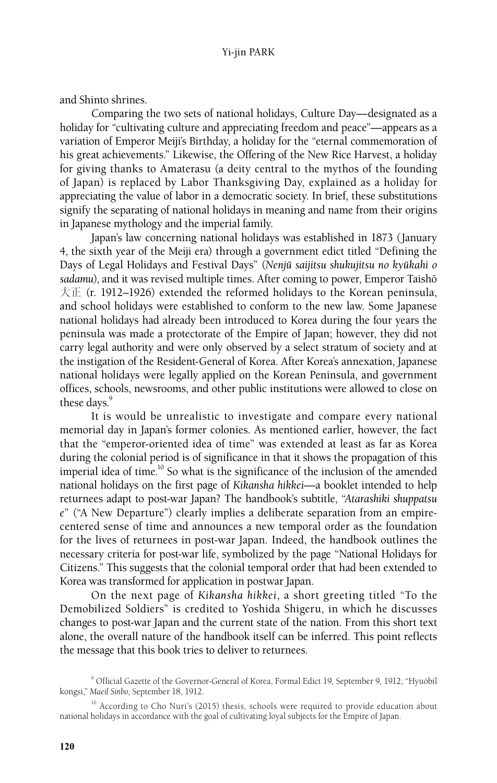and Shinto shrines.

Comparing the two sets of national holidays, Culture Day—designated as a holiday for "cultivating culture and appreciating freedom and peace"—appears as a variation of Emperor Meiji's Birthday, a holiday for the "eternal commemoration of his great achievements." Likewise, the Offering of the New Rice Harvest, a holiday for giving thanks to Amaterasu (a deity central to the mythos of the founding of Japan) is replaced by Labor Thanksgiving Day, explained as a holiday for appreciating the value of labor in a democratic society. In brief, these substitutions signify the separating of national holidays in meaning and name from their origins in Japanese mythology and the imperial family.

Japan's law concerning national holidays was established in 1873 (January 4, the sixth year of the Meiji era) through a government edict titled "Defining the Days of Legal Holidays and Festival Days" (Nenjū saijitsu shukujitsu no kyūkahi o sadamu), and it was revised multiple times. After coming to power, Emperor Taishō 大正 (r. 1912*–*1926) extended the reformed holidays to the Korean peninsula, and school holidays were established to conform to the new law. Some Japanese national holidays had already been introduced to Korea during the four years the peninsula was made a protectorate of the Empire of Japan; however, they did not carry legal authority and were only observed by a select stratum of society and at the instigation of the Resident-General of Korea. After Korea's annexation, Japanese national holidays were legally applied on the Korean Peninsula, and government offices, schools, newsrooms, and other public institutions were allowed to close on these days.<sup>9</sup>

It is would be unrealistic to investigate and compare every national memorial day in Japan's former colonies. As mentioned earlier, however, the fact that the "emperor-oriented idea of time" was extended at least as far as Korea during the colonial period is of significance in that it shows the propagation of this imperial idea of time.<sup>10</sup> So what is the significance of the inclusion of the amended national holidays on the first page of *Kikansha hikkei*—a booklet intended to help returnees adapt to post-war Japan? The handbook's subtitle, "*Atarashiki shuppatsu e*" ("A New Departure") clearly implies a deliberate separation from an empirecentered sense of time and announces a new temporal order as the foundation for the lives of returnees in post-war Japan. Indeed, the handbook outlines the necessary criteria for post-war life, symbolized by the page "National Holidays for Citizens." This suggests that the colonial temporal order that had been extended to Korea was transformed for application in postwar Japan.

On the next page of *Kikansha hikkei*, a short greeting titled "To the Demobilized Soldiers" is credited to Yoshida Shigeru, in which he discusses changes to post-war Japan and the current state of the nation. From this short text alone, the overall nature of the handbook itself can be inferred. This point reflects the message that this book tries to deliver to returnees.

<sup>&</sup>lt;sup>9</sup> Official Gazette of the Governor-General of Korea, Formal Edict 19, September 9, 1912; "Hyuŏbil kongsi," *Maeil Sinbo*, September 18, 1912.

<sup>&</sup>lt;sup>10</sup> According to Cho Nuri's (2015) thesis, schools were required to provide education about national holidays in accordance with the goal of cultivating loyal subjects for the Empire of Japan.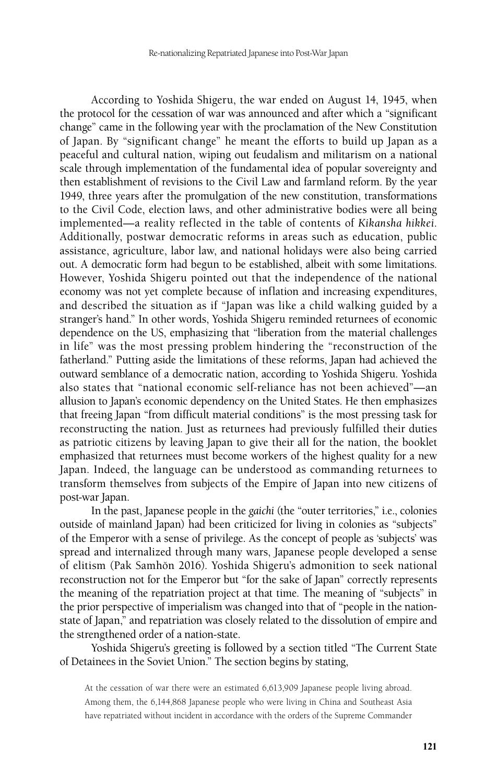According to Yoshida Shigeru, the war ended on August 14, 1945, when the protocol for the cessation of war was announced and after which a "significant change" came in the following year with the proclamation of the New Constitution of Japan. By "significant change" he meant the efforts to build up Japan as a peaceful and cultural nation, wiping out feudalism and militarism on a national scale through implementation of the fundamental idea of popular sovereignty and then establishment of revisions to the Civil Law and farmland reform. By the year 1949, three years after the promulgation of the new constitution, transformations to the Civil Code, election laws, and other administrative bodies were all being implemented—a reality reflected in the table of contents of *Kikansha hikkei*. Additionally, postwar democratic reforms in areas such as education, public assistance, agriculture, labor law, and national holidays were also being carried out. A democratic form had begun to be established, albeit with some limitations. However, Yoshida Shigeru pointed out that the independence of the national economy was not yet complete because of inflation and increasing expenditures, and described the situation as if "Japan was like a child walking guided by a stranger's hand." In other words, Yoshida Shigeru reminded returnees of economic dependence on the US, emphasizing that "liberation from the material challenges in life" was the most pressing problem hindering the "reconstruction of the fatherland." Putting aside the limitations of these reforms, Japan had achieved the outward semblance of a democratic nation, according to Yoshida Shigeru. Yoshida also states that "national economic self-reliance has not been achieved"—an allusion to Japan's economic dependency on the United States. He then emphasizes that freeing Japan "from difficult material conditions" is the most pressing task for reconstructing the nation. Just as returnees had previously fulfilled their duties as patriotic citizens by leaving Japan to give their all for the nation, the booklet emphasized that returnees must become workers of the highest quality for a new Japan. Indeed, the language can be understood as commanding returnees to transform themselves from subjects of the Empire of Japan into new citizens of post-war Japan.

In the past, Japanese people in the *gaichi* (the "outer territories," i.e., colonies outside of mainland Japan) had been criticized for living in colonies as "subjects" of the Emperor with a sense of privilege. As the concept of people as 'subjects' was spread and internalized through many wars, Japanese people developed a sense of elitism (Pak Samhŏn 2016). Yoshida Shigeru's admonition to seek national reconstruction not for the Emperor but "for the sake of Japan" correctly represents the meaning of the repatriation project at that time. The meaning of "subjects" in the prior perspective of imperialism was changed into that of "people in the nationstate of Japan," and repatriation was closely related to the dissolution of empire and the strengthened order of a nation-state.

Yoshida Shigeru's greeting is followed by a section titled "The Current State of Detainees in the Soviet Union." The section begins by stating,

At the cessation of war there were an estimated 6,613,909 Japanese people living abroad. Among them, the 6,144,868 Japanese people who were living in China and Southeast Asia have repatriated without incident in accordance with the orders of the Supreme Commander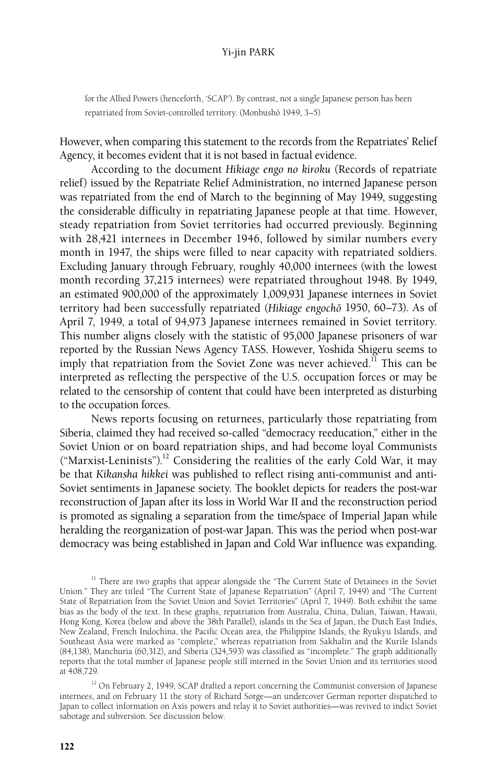for the Allied Powers (henceforth, 'SCAP'). By contrast, not a single Japanese person has been repatriated from Soviet-controlled territory. (Monbushō 1949, 3-5)

However, when comparing this statement to the records from the Repatriates' Relief Agency, it becomes evident that it is not based in factual evidence.

According to the document *Hikiage engo no kiroku* (Records of repatriate relief) issued by the Repatriate Relief Administration, no interned Japanese person was repatriated from the end of March to the beginning of May 1949, suggesting the considerable difficulty in repatriating Japanese people at that time. However, steady repatriation from Soviet territories had occurred previously. Beginning with 28,421 internees in December 1946, followed by similar numbers every month in 1947, the ships were filled to near capacity with repatriated soldiers. Excluding January through February, roughly 40,000 internees (with the lowest month recording 37,215 internees) were repatriated throughout 1948. By 1949, an estimated 900,000 of the approximately 1,009,931 Japanese internees in Soviet territory had been successfully repatriated (*Hikiage engochoˉ* 1950, 60–73). As of April 7, 1949, a total of 94,973 Japanese internees remained in Soviet territory. This number aligns closely with the statistic of 95,000 Japanese prisoners of war reported by the Russian News Agency TASS. However, Yoshida Shigeru seems to imply that repatriation from the Soviet Zone was never achieved.<sup>11</sup> This can be interpreted as reflecting the perspective of the U.S. occupation forces or may be related to the censorship of content that could have been interpreted as disturbing to the occupation forces.

News reports focusing on returnees, particularly those repatriating from Siberia, claimed they had received so-called "democracy reeducation," either in the Soviet Union or on board repatriation ships, and had become loyal Communists ("Marxist-Leninists").<sup>12</sup> Considering the realities of the early Cold War, it may be that *Kikansha hikkei* was published to reflect rising anti-communist and anti-Soviet sentiments in Japanese society. The booklet depicts for readers the post-war reconstruction of Japan after its loss in World War II and the reconstruction period is promoted as signaling a separation from the time/space of Imperial Japan while heralding the reorganization of post-war Japan. This was the period when post-war democracy was being established in Japan and Cold War influence was expanding.

 $11$  There are two graphs that appear alongside the "The Current State of Detainees in the Soviet Union." They are titled "The Current State of Japanese Repatriation" (April 7, 1949) and "The Current State of Repatriation from the Soviet Union and Soviet Territories" (April 7, 1949). Both exhibit the same bias as the body of the text. In these graphs, repatriation from Australia, China, Dalian, Taiwan, Hawaii, Hong Kong, Korea (below and above the 38th Parallel), islands in the Sea of Japan, the Dutch East Indies, New Zealand, French Indochina, the Pacific Ocean area, the Philippine Islands, the Ryukyu Islands, and Southeast Asia were marked as "complete," whereas repatriation from Sakhalin and the Kurile Islands (84,138), Manchuria (60,312), and Siberia (324,593) was classified as "incomplete." The graph additionally reports that the total number of Japanese people still interned in the Soviet Union and its territories stood at 408,729.

 $12$  On February 2, 1949, SCAP drafted a report concerning the Communist conversion of Japanese internees, and on February 11 the story of Richard Sorge—an undercover German reporter dispatched to Japan to collect information on Axis powers and relay it to Soviet authorities—was revived to indict Soviet sabotage and subversion. See discussion below.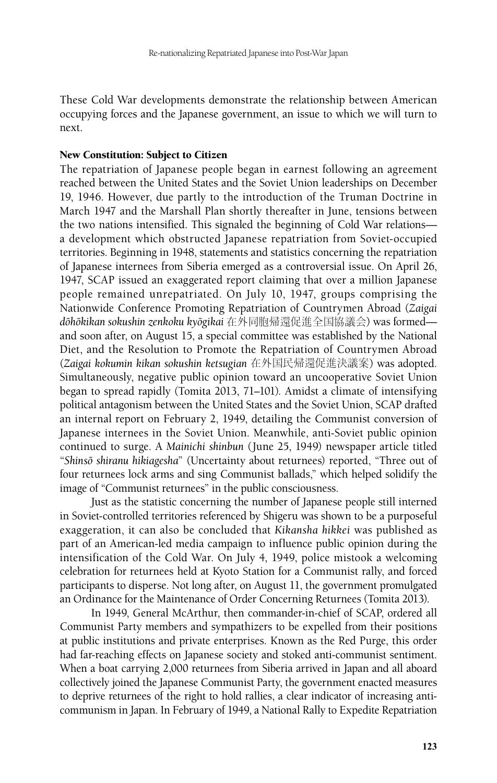These Cold War developments demonstrate the relationship between American occupying forces and the Japanese government, an issue to which we will turn to next.

#### New Constitution: Subject to Citizen

The repatriation of Japanese people began in earnest following an agreement reached between the United States and the Soviet Union leaderships on December 19, 1946. However, due partly to the introduction of the Truman Doctrine in March 1947 and the Marshall Plan shortly thereafter in June, tensions between the two nations intensified. This signaled the beginning of Cold War relations a development which obstructed Japanese repatriation from Soviet-occupied territories. Beginning in 1948, statements and statistics concerning the repatriation of Japanese internees from Siberia emerged as a controversial issue. On April 26, 1947, SCAP issued an exaggerated report claiming that over a million Japanese people remained unrepatriated. On July 10, 1947, groups comprising the Nationwide Conference Promoting Repatriation of Countrymen Abroad (*Zaigai doˉhoˉkikan sokushin zenkoku kyoˉgikai* 在外同胞帰還促進全国協議会) was formed and soon after, on August 15, a special committee was established by the National Diet, and the Resolution to Promote the Repatriation of Countrymen Abroad (*Zaigai kokumin kikan sokushin ketsugian* 在外国民帰還促進決議案) was adopted. Simultaneously, negative public opinion toward an uncooperative Soviet Union began to spread rapidly (Tomita 2013, 71–101). Amidst a climate of intensifying political antagonism between the United States and the Soviet Union, SCAP drafted an internal report on February 2, 1949, detailing the Communist conversion of Japanese internees in the Soviet Union. Meanwhile, anti-Soviet public opinion continued to surge. A *Mainichi shinbun* (June 25, 1949) newspaper article titled "*Shinsoˉ shiranu hikiagesha*" (Uncertainty about returnees) reported, "Three out of four returnees lock arms and sing Communist ballads," which helped solidify the image of "Communist returnees" in the public consciousness.

Just as the statistic concerning the number of Japanese people still interned in Soviet-controlled territories referenced by Shigeru was shown to be a purposeful exaggeration, it can also be concluded that *Kikansha hikkei* was published as part of an American-led media campaign to influence public opinion during the intensification of the Cold War. On July 4, 1949, police mistook a welcoming celebration for returnees held at Kyoto Station for a Communist rally, and forced participants to disperse. Not long after, on August 11, the government promulgated an Ordinance for the Maintenance of Order Concerning Returnees (Tomita 2013).

In 1949, General McArthur, then commander-in-chief of SCAP, ordered all Communist Party members and sympathizers to be expelled from their positions at public institutions and private enterprises. Known as the Red Purge, this order had far-reaching effects on Japanese society and stoked anti-communist sentiment. When a boat carrying 2,000 returnees from Siberia arrived in Japan and all aboard collectively joined the Japanese Communist Party, the government enacted measures to deprive returnees of the right to hold rallies, a clear indicator of increasing anticommunism in Japan. In February of 1949, a National Rally to Expedite Repatriation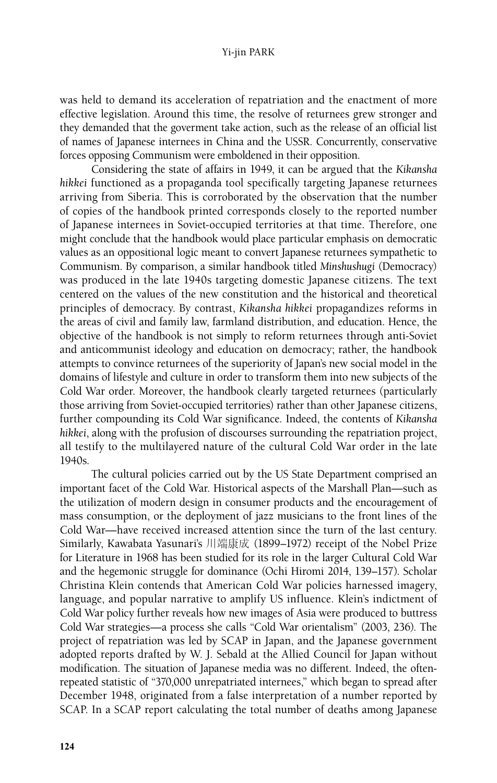was held to demand its acceleration of repatriation and the enactment of more effective legislation. Around this time, the resolve of returnees grew stronger and they demanded that the goverment take action, such as the release of an official list of names of Japanese internees in China and the USSR. Concurrently, conservative forces opposing Communism were emboldened in their opposition.

Considering the state of affairs in 1949, it can be argued that the *Kikansha hikkei* functioned as a propaganda tool specifically targeting Japanese returnees arriving from Siberia. This is corroborated by the observation that the number of copies of the handbook printed corresponds closely to the reported number of Japanese internees in Soviet-occupied territories at that time. Therefore, one might conclude that the handbook would place particular emphasis on democratic values as an oppositional logic meant to convert Japanese returnees sympathetic to Communism. By comparison, a similar handbook titled *Minshushugi* (Democracy) was produced in the late 1940s targeting domestic Japanese citizens. The text centered on the values of the new constitution and the historical and theoretical principles of democracy. By contrast, *Kikansha hikkei* propagandizes reforms in the areas of civil and family law, farmland distribution, and education. Hence, the objective of the handbook is not simply to reform returnees through anti-Soviet and anticommunist ideology and education on democracy; rather, the handbook attempts to convince returnees of the superiority of Japan's new social model in the domains of lifestyle and culture in order to transform them into new subjects of the Cold War order. Moreover, the handbook clearly targeted returnees (particularly those arriving from Soviet-occupied territories) rather than other Japanese citizens, further compounding its Cold War significance. Indeed, the contents of *Kikansha hikkei*, along with the profusion of discourses surrounding the repatriation project, all testify to the multilayered nature of the cultural Cold War order in the late 1940s.

The cultural policies carried out by the US State Department comprised an important facet of the Cold War. Historical aspects of the Marshall Plan—such as the utilization of modern design in consumer products and the encouragement of mass consumption, or the deployment of jazz musicians to the front lines of the Cold War—have received increased attention since the turn of the last century. Similarly, Kawabata Yasunari's 川端康成 (1899–1972) receipt of the Nobel Prize for Literature in 1968 has been studied for its role in the larger Cultural Cold War and the hegemonic struggle for dominance (Ochi Hiromi 2014, 139–157). Scholar Christina Klein contends that American Cold War policies harnessed imagery, language, and popular narrative to amplify US influence. Klein's indictment of Cold War policy further reveals how new images of Asia were produced to buttress Cold War strategies—a process she calls "Cold War orientalism" (2003, 236). The project of repatriation was led by SCAP in Japan, and the Japanese government adopted reports drafted by W. J. Sebald at the Allied Council for Japan without modification. The situation of Japanese media was no different. Indeed, the oftenrepeated statistic of "370,000 unrepatriated internees," which began to spread after December 1948, originated from a false interpretation of a number reported by SCAP. In a SCAP report calculating the total number of deaths among Japanese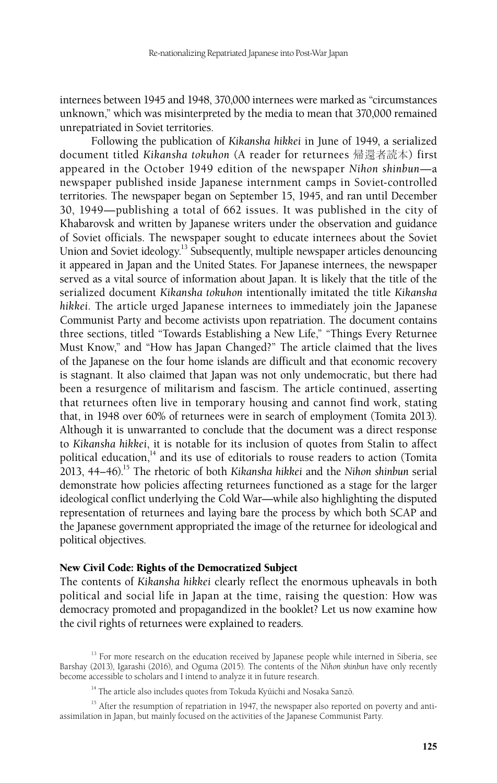internees between 1945 and 1948, 370,000 internees were marked as "circumstances unknown," which was misinterpreted by the media to mean that 370,000 remained unrepatriated in Soviet territories.

Following the publication of *Kikansha hikkei* in June of 1949, a serialized document titled *Kikansha tokuhon* (A reader for returnees 帰還者読本) first appeared in the October 1949 edition of the newspaper *Nihon shinbun*—a newspaper published inside Japanese internment camps in Soviet-controlled territories. The newspaper began on September 15, 1945, and ran until December 30, 1949—publishing a total of 662 issues. It was published in the city of Khabarovsk and written by Japanese writers under the observation and guidance of Soviet officials. The newspaper sought to educate internees about the Soviet Union and Soviet ideology.<sup>13</sup> Subsequently, multiple newspaper articles denouncing it appeared in Japan and the United States. For Japanese internees, the newspaper served as a vital source of information about Japan. It is likely that the title of the serialized document *Kikansha tokuhon* intentionally imitated the title *Kikansha hikkei*. The article urged Japanese internees to immediately join the Japanese Communist Party and become activists upon repatriation. The document contains three sections, titled "Towards Establishing a New Life," "Things Every Returnee Must Know," and "How has Japan Changed?" The article claimed that the lives of the Japanese on the four home islands are difficult and that economic recovery is stagnant. It also claimed that Japan was not only undemocratic, but there had been a resurgence of militarism and fascism. The article continued, asserting that returnees often live in temporary housing and cannot find work, stating that, in 1948 over 60% of returnees were in search of employment (Tomita 2013). Although it is unwarranted to conclude that the document was a direct response to *Kikansha hikkei*, it is notable for its inclusion of quotes from Stalin to affect political education, $14$  and its use of editorials to rouse readers to action (Tomita 2013, 44–46).15 The rhetoric of both *Kikansha hikkei* and the *Nihon shinbun* serial demonstrate how policies affecting returnees functioned as a stage for the larger ideological conflict underlying the Cold War—while also highlighting the disputed representation of returnees and laying bare the process by which both SCAP and the Japanese government appropriated the image of the returnee for ideological and political objectives.

#### New Civil Code: Rights of the Democratized Subject

The contents of *Kikansha hikkei* clearly reflect the enormous upheavals in both political and social life in Japan at the time, raising the question: How was democracy promoted and propagandized in the booklet? Let us now examine how the civil rights of returnees were explained to readers.

<sup>&</sup>lt;sup>13</sup> For more research on the education received by Japanese people while interned in Siberia, see Barshay (2013), Igarashi (2016), and Oguma (2015). The contents of the *Nihon shinbun* have only recently become accessible to scholars and I intend to analyze it in future research.

<sup>&</sup>lt;sup>14</sup> The article also includes quotes from Tokuda Kyūichi and Nosaka Sanzō.

<sup>&</sup>lt;sup>15</sup> After the resumption of repatriation in 1947, the newspaper also reported on poverty and antiassimilation in Japan, but mainly focused on the activities of the Japanese Communist Party.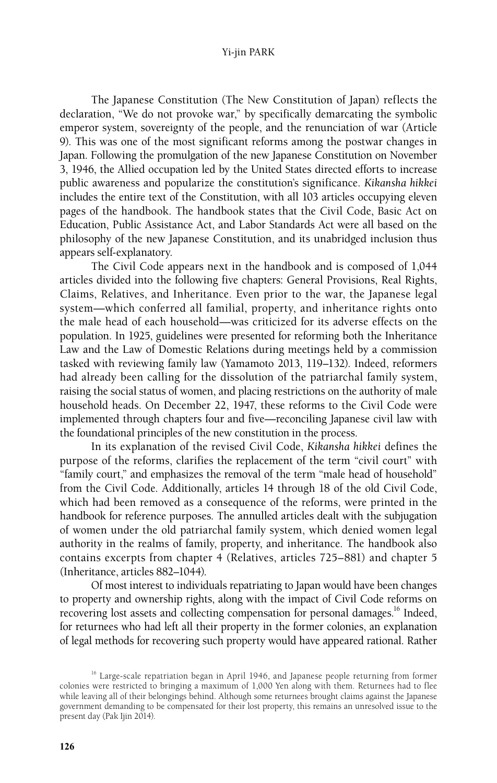The Japanese Constitution (The New Constitution of Japan) reflects the declaration, "We do not provoke war," by specifically demarcating the symbolic emperor system, sovereignty of the people, and the renunciation of war (Article 9). This was one of the most significant reforms among the postwar changes in Japan. Following the promulgation of the new Japanese Constitution on November 3, 1946, the Allied occupation led by the United States directed efforts to increase public awareness and popularize the constitution's significance. *Kikansha hikkei*  includes the entire text of the Constitution, with all 103 articles occupying eleven pages of the handbook. The handbook states that the Civil Code, Basic Act on Education, Public Assistance Act, and Labor Standards Act were all based on the philosophy of the new Japanese Constitution, and its unabridged inclusion thus appears self-explanatory.

The Civil Code appears next in the handbook and is composed of 1,044 articles divided into the following five chapters: General Provisions, Real Rights, Claims, Relatives, and Inheritance. Even prior to the war, the Japanese legal system—which conferred all familial, property, and inheritance rights onto the male head of each household—was criticized for its adverse effects on the population. In 1925, guidelines were presented for reforming both the Inheritance Law and the Law of Domestic Relations during meetings held by a commission tasked with reviewing family law (Yamamoto 2013, 119–132). Indeed, reformers had already been calling for the dissolution of the patriarchal family system, raising the social status of women, and placing restrictions on the authority of male household heads. On December 22, 1947, these reforms to the Civil Code were implemented through chapters four and five—reconciling Japanese civil law with the foundational principles of the new constitution in the process.

In its explanation of the revised Civil Code, *Kikansha hikkei* defines the purpose of the reforms, clarifies the replacement of the term "civil court" with "family court," and emphasizes the removal of the term "male head of household" from the Civil Code. Additionally, articles 14 through 18 of the old Civil Code, which had been removed as a consequence of the reforms, were printed in the handbook for reference purposes. The annulled articles dealt with the subjugation of women under the old patriarchal family system, which denied women legal authority in the realms of family, property, and inheritance. The handbook also contains excerpts from chapter 4 (Relatives, articles 725–881) and chapter 5 (Inheritance, articles 882–1044).

Of most interest to individuals repatriating to Japan would have been changes to property and ownership rights, along with the impact of Civil Code reforms on recovering lost assets and collecting compensation for personal damages.<sup>16</sup> Indeed, for returnees who had left all their property in the former colonies, an explanation of legal methods for recovering such property would have appeared rational. Rather

<sup>&</sup>lt;sup>16</sup> Large-scale repatriation began in April 1946, and Japanese people returning from former colonies were restricted to bringing a maximum of 1,000 Yen along with them. Returnees had to flee while leaving all of their belongings behind. Although some returnees brought claims against the Japanese government demanding to be compensated for their lost property, this remains an unresolved issue to the present day (Pak Ijin 2014).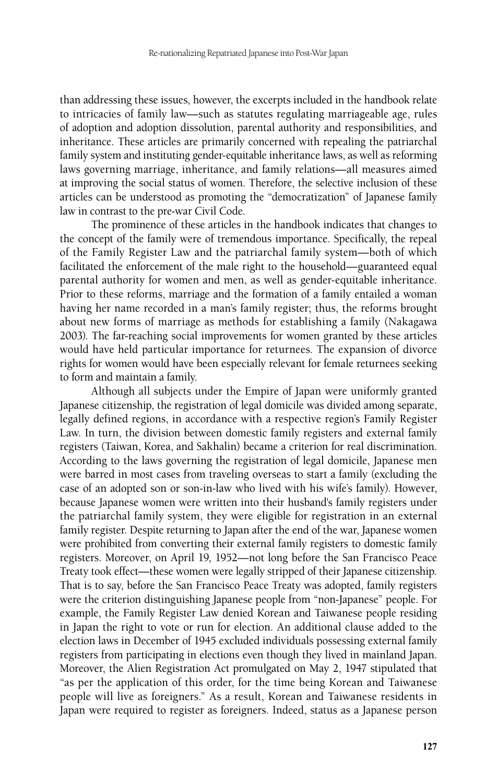than addressing these issues, however, the excerpts included in the handbook relate to intricacies of family law—such as statutes regulating marriageable age, rules of adoption and adoption dissolution, parental authority and responsibilities, and inheritance. These articles are primarily concerned with repealing the patriarchal family system and instituting gender-equitable inheritance laws, as well as reforming laws governing marriage, inheritance, and family relations—all measures aimed at improving the social status of women. Therefore, the selective inclusion of these articles can be understood as promoting the "democratization" of Japanese family law in contrast to the pre-war Civil Code.

The prominence of these articles in the handbook indicates that changes to the concept of the family were of tremendous importance. Specifically, the repeal of the Family Register Law and the patriarchal family system—both of which facilitated the enforcement of the male right to the household—guaranteed equal parental authority for women and men, as well as gender-equitable inheritance. Prior to these reforms, marriage and the formation of a family entailed a woman having her name recorded in a man's family register; thus, the reforms brought about new forms of marriage as methods for establishing a family (Nakagawa 2003). The far-reaching social improvements for women granted by these articles would have held particular importance for returnees. The expansion of divorce rights for women would have been especially relevant for female returnees seeking to form and maintain a family.

Although all subjects under the Empire of Japan were uniformly granted Japanese citizenship, the registration of legal domicile was divided among separate, legally defined regions, in accordance with a respective region's Family Register Law. In turn, the division between domestic family registers and external family registers (Taiwan, Korea, and Sakhalin) became a criterion for real discrimination. According to the laws governing the registration of legal domicile, Japanese men were barred in most cases from traveling overseas to start a family (excluding the case of an adopted son or son-in-law who lived with his wife's family). However, because Japanese women were written into their husband's family registers under the patriarchal family system, they were eligible for registration in an external family register. Despite returning to Japan after the end of the war, Japanese women were prohibited from converting their external family registers to domestic family registers. Moreover, on April 19, 1952—not long before the San Francisco Peace Treaty took effect—these women were legally stripped of their Japanese citizenship. That is to say, before the San Francisco Peace Treaty was adopted, family registers were the criterion distinguishing Japanese people from "non-Japanese" people. For example, the Family Register Law denied Korean and Taiwanese people residing in Japan the right to vote or run for election. An additional clause added to the election laws in December of 1945 excluded individuals possessing external family registers from participating in elections even though they lived in mainland Japan. Moreover, the Alien Registration Act promulgated on May 2, 1947 stipulated that "as per the application of this order, for the time being Korean and Taiwanese people will live as foreigners." As a result, Korean and Taiwanese residents in Japan were required to register as foreigners. Indeed, status as a Japanese person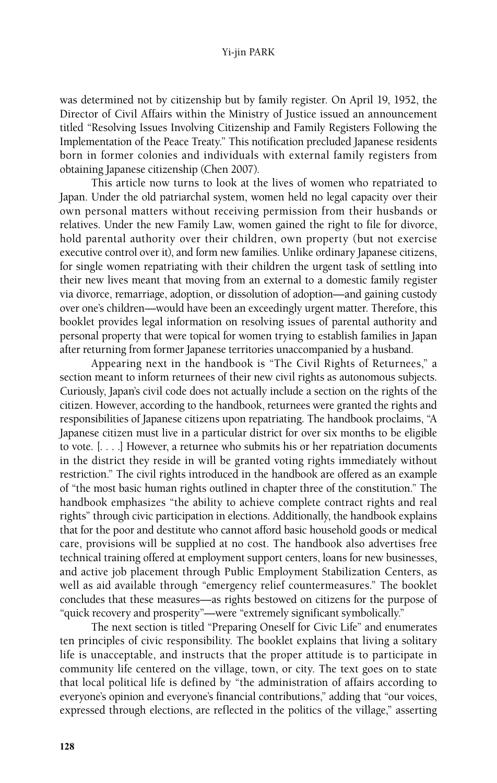was determined not by citizenship but by family register. On April 19, 1952, the Director of Civil Affairs within the Ministry of Justice issued an announcement titled "Resolving Issues Involving Citizenship and Family Registers Following the Implementation of the Peace Treaty." This notification precluded Japanese residents born in former colonies and individuals with external family registers from obtaining Japanese citizenship (Chen 2007).

This article now turns to look at the lives of women who repatriated to Japan. Under the old patriarchal system, women held no legal capacity over their own personal matters without receiving permission from their husbands or relatives. Under the new Family Law, women gained the right to file for divorce, hold parental authority over their children, own property (but not exercise executive control over it), and form new families. Unlike ordinary Japanese citizens, for single women repatriating with their children the urgent task of settling into their new lives meant that moving from an external to a domestic family register via divorce, remarriage, adoption, or dissolution of adoption—and gaining custody over one's children—would have been an exceedingly urgent matter. Therefore, this booklet provides legal information on resolving issues of parental authority and personal property that were topical for women trying to establish families in Japan after returning from former Japanese territories unaccompanied by a husband.

Appearing next in the handbook is "The Civil Rights of Returnees," a section meant to inform returnees of their new civil rights as autonomous subjects. Curiously, Japan's civil code does not actually include a section on the rights of the citizen. However, according to the handbook, returnees were granted the rights and responsibilities of Japanese citizens upon repatriating. The handbook proclaims, "A Japanese citizen must live in a particular district for over six months to be eligible to vote. [. . . .] However, a returnee who submits his or her repatriation documents in the district they reside in will be granted voting rights immediately without restriction." The civil rights introduced in the handbook are offered as an example of "the most basic human rights outlined in chapter three of the constitution." The handbook emphasizes "the ability to achieve complete contract rights and real rights" through civic participation in elections. Additionally, the handbook explains that for the poor and destitute who cannot afford basic household goods or medical care, provisions will be supplied at no cost. The handbook also advertises free technical training offered at employment support centers, loans for new businesses, and active job placement through Public Employment Stabilization Centers, as well as aid available through "emergency relief countermeasures." The booklet concludes that these measures—as rights bestowed on citizens for the purpose of "quick recovery and prosperity"—were "extremely significant symbolically."

The next section is titled "Preparing Oneself for Civic Life" and enumerates ten principles of civic responsibility. The booklet explains that living a solitary life is unacceptable, and instructs that the proper attitude is to participate in community life centered on the village, town, or city. The text goes on to state that local political life is defined by "the administration of affairs according to everyone's opinion and everyone's financial contributions," adding that "our voices, expressed through elections, are reflected in the politics of the village," asserting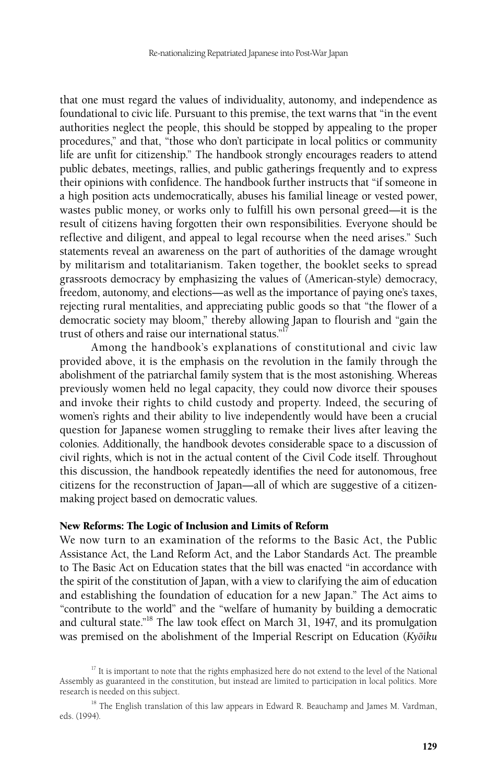that one must regard the values of individuality, autonomy, and independence as foundational to civic life. Pursuant to this premise, the text warns that "in the event authorities neglect the people, this should be stopped by appealing to the proper procedures," and that, "those who don't participate in local politics or community life are unfit for citizenship." The handbook strongly encourages readers to attend public debates, meetings, rallies, and public gatherings frequently and to express their opinions with confidence. The handbook further instructs that "if someone in a high position acts undemocratically, abuses his familial lineage or vested power, wastes public money, or works only to fulfill his own personal greed—it is the result of citizens having forgotten their own responsibilities. Everyone should be reflective and diligent, and appeal to legal recourse when the need arises." Such statements reveal an awareness on the part of authorities of the damage wrought by militarism and totalitarianism. Taken together, the booklet seeks to spread grassroots democracy by emphasizing the values of (American-style) democracy, freedom, autonomy, and elections—as well as the importance of paying one's taxes, rejecting rural mentalities, and appreciating public goods so that "the flower of a democratic society may bloom," thereby allowing Japan to flourish and "gain the trust of others and raise our international status."<sup>1</sup>

Among the handbook's explanations of constitutional and civic law provided above, it is the emphasis on the revolution in the family through the abolishment of the patriarchal family system that is the most astonishing. Whereas previously women held no legal capacity, they could now divorce their spouses and invoke their rights to child custody and property. Indeed, the securing of women's rights and their ability to live independently would have been a crucial question for Japanese women struggling to remake their lives after leaving the colonies. Additionally, the handbook devotes considerable space to a discussion of civil rights, which is not in the actual content of the Civil Code itself. Throughout this discussion, the handbook repeatedly identifies the need for autonomous, free citizens for the reconstruction of Japan—all of which are suggestive of a citizenmaking project based on democratic values.

#### New Reforms: The Logic of Inclusion and Limits of Reform

We now turn to an examination of the reforms to the Basic Act, the Public Assistance Act, the Land Reform Act, and the Labor Standards Act. The preamble to The Basic Act on Education states that the bill was enacted "in accordance with the spirit of the constitution of Japan, with a view to clarifying the aim of education and establishing the foundation of education for a new Japan." The Act aims to "contribute to the world" and the "welfare of humanity by building a democratic and cultural state."<sup>18</sup> The law took effect on March 31, 1947, and its promulgation was premised on the abolishment of the Imperial Rescript on Education (Kyōiku

<sup>&</sup>lt;sup>17</sup> It is important to note that the rights emphasized here do not extend to the level of the National Assembly as guaranteed in the constitution, but instead are limited to participation in local politics. More research is needed on this subject.

<sup>&</sup>lt;sup>18</sup> The English translation of this law appears in Edward R. Beauchamp and James M. Vardman, eds. (1994).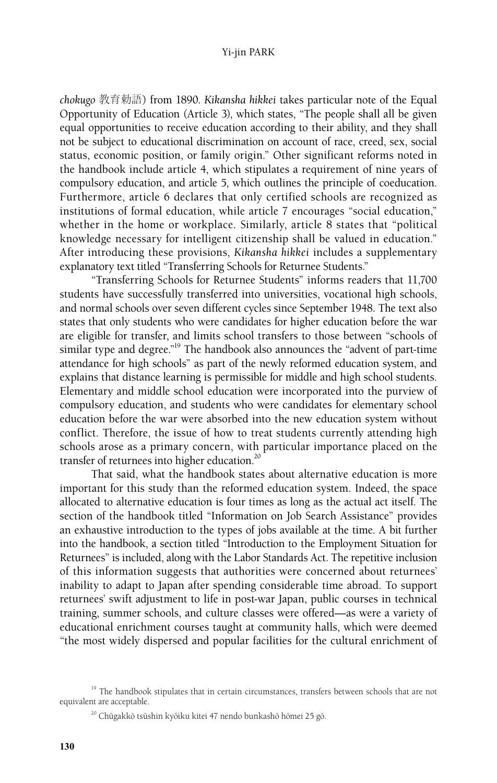*chokugo* 教育勅語) from 1890. *Kikansha hikkei* takes particular note of the Equal Opportunity of Education (Article 3), which states, "The people shall all be given equal opportunities to receive education according to their ability, and they shall not be subject to educational discrimination on account of race, creed, sex, social status, economic position, or family origin." Other significant reforms noted in the handbook include article 4, which stipulates a requirement of nine years of compulsory education, and article 5, which outlines the principle of coeducation. Furthermore, article 6 declares that only certified schools are recognized as institutions of formal education, while article 7 encourages "social education," whether in the home or workplace. Similarly, article 8 states that "political knowledge necessary for intelligent citizenship shall be valued in education." After introducing these provisions, *Kikansha hikkei* includes a supplementary explanatory text titled "Transferring Schools for Returnee Students."

"Transferring Schools for Returnee Students" informs readers that 11,700 students have successfully transferred into universities, vocational high schools, and normal schools over seven different cycles since September 1948. The text also states that only students who were candidates for higher education before the war are eligible for transfer, and limits school transfers to those between "schools of similar type and degree."<sup>19</sup> The handbook also announces the "advent of part-time attendance for high schools" as part of the newly reformed education system, and explains that distance learning is permissible for middle and high school students. Elementary and middle school education were incorporated into the purview of compulsory education, and students who were candidates for elementary school education before the war were absorbed into the new education system without conflict. Therefore, the issue of how to treat students currently attending high schools arose as a primary concern, with particular importance placed on the transfer of returnees into higher education.<sup>20</sup>

That said, what the handbook states about alternative education is more important for this study than the reformed education system. Indeed, the space allocated to alternative education is four times as long as the actual act itself. The section of the handbook titled "Information on Job Search Assistance" provides an exhaustive introduction to the types of jobs available at the time. A bit further into the handbook, a section titled "Introduction to the Employment Situation for Returnees" is included, along with the Labor Standards Act. The repetitive inclusion of this information suggests that authorities were concerned about returnees' inability to adapt to Japan after spending considerable time abroad. To support returnees' swift adjustment to life in post-war Japan, public courses in technical training, summer schools, and culture classes were offered—as were a variety of educational enrichment courses taught at community halls, which were deemed "the most widely dispersed and popular facilities for the cultural enrichment of

<sup>&</sup>lt;sup>19</sup> The handbook stipulates that in certain circumstances, transfers between schools that are not equivalent are acceptable.

<sup>&</sup>lt;sup>20</sup> Chūgakkō tsūshin kyōiku kitei 47 nendo bunkashō hōmei 25 gō.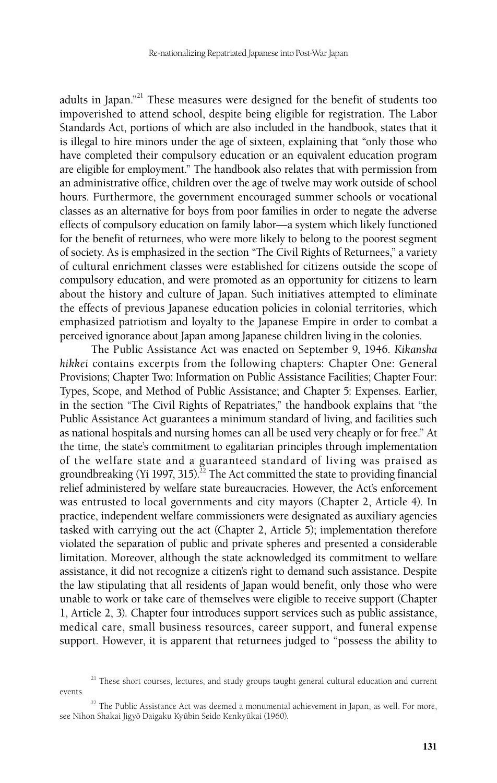adults in Japan."<sup>21</sup> These measures were designed for the benefit of students too impoverished to attend school, despite being eligible for registration. The Labor Standards Act, portions of which are also included in the handbook, states that it is illegal to hire minors under the age of sixteen, explaining that "only those who have completed their compulsory education or an equivalent education program are eligible for employment." The handbook also relates that with permission from an administrative office, children over the age of twelve may work outside of school hours. Furthermore, the government encouraged summer schools or vocational classes as an alternative for boys from poor families in order to negate the adverse effects of compulsory education on family labor—a system which likely functioned for the benefit of returnees, who were more likely to belong to the poorest segment of society. As is emphasized in the section "The Civil Rights of Returnees," a variety of cultural enrichment classes were established for citizens outside the scope of compulsory education, and were promoted as an opportunity for citizens to learn about the history and culture of Japan. Such initiatives attempted to eliminate the effects of previous Japanese education policies in colonial territories, which emphasized patriotism and loyalty to the Japanese Empire in order to combat a perceived ignorance about Japan among Japanese children living in the colonies.

The Public Assistance Act was enacted on September 9, 1946. *Kikansha hikkei* contains excerpts from the following chapters: Chapter One: General Provisions; Chapter Two: Information on Public Assistance Facilities; Chapter Four: Types, Scope, and Method of Public Assistance; and Chapter 5: Expenses. Earlier, in the section "The Civil Rights of Repatriates," the handbook explains that "the Public Assistance Act guarantees a minimum standard of living, and facilities such as national hospitals and nursing homes can all be used very cheaply or for free." At the time, the state's commitment to egalitarian principles through implementation of the welfare state and a guaranteed standard of living was praised as groundbreaking (Yi 1997, 315).<sup>22</sup> The Act committed the state to providing financial relief administered by welfare state bureaucracies. However, the Act's enforcement was entrusted to local governments and city mayors (Chapter 2, Article 4). In practice, independent welfare commissioners were designated as auxiliary agencies tasked with carrying out the act (Chapter 2, Article 5); implementation therefore violated the separation of public and private spheres and presented a considerable limitation. Moreover, although the state acknowledged its commitment to welfare assistance, it did not recognize a citizen's right to demand such assistance. Despite the law stipulating that all residents of Japan would benefit, only those who were unable to work or take care of themselves were eligible to receive support (Chapter 1, Article 2, 3). Chapter four introduces support services such as public assistance, medical care, small business resources, career support, and funeral expense support. However, it is apparent that returnees judged to "possess the ability to

 $21$  These short courses, lectures, and study groups taught general cultural education and current events.

 $22$  The Public Assistance Act was deemed a monumental achievement in Japan, as well. For more, see Nihon Shakai Jigyō Daigaku Kyūbin Seido Kenkyūkai (1960).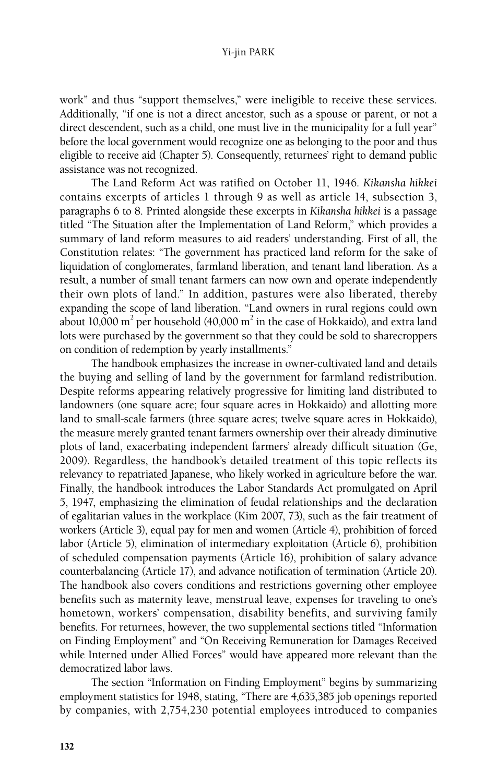work" and thus "support themselves," were ineligible to receive these services. Additionally, "if one is not a direct ancestor, such as a spouse or parent, or not a direct descendent, such as a child, one must live in the municipality for a full year" before the local government would recognize one as belonging to the poor and thus eligible to receive aid (Chapter 5). Consequently, returnees' right to demand public assistance was not recognized.

The Land Reform Act was ratified on October 11, 1946. *Kikansha hikkei*  contains excerpts of articles 1 through 9 as well as article 14, subsection 3, paragraphs 6 to 8. Printed alongside these excerpts in *Kikansha hikkei* is a passage titled "The Situation after the Implementation of Land Reform," which provides a summary of land reform measures to aid readers' understanding. First of all, the Constitution relates: "The government has practiced land reform for the sake of liquidation of conglomerates, farmland liberation, and tenant land liberation. As a result, a number of small tenant farmers can now own and operate independently their own plots of land." In addition, pastures were also liberated, thereby expanding the scope of land liberation. "Land owners in rural regions could own about 10,000 m<sup>2</sup> per household (40,000 m<sup>2</sup> in the case of Hokkaido), and extra land lots were purchased by the government so that they could be sold to sharecroppers on condition of redemption by yearly installments."

The handbook emphasizes the increase in owner-cultivated land and details the buying and selling of land by the government for farmland redistribution. Despite reforms appearing relatively progressive for limiting land distributed to landowners (one square acre; four square acres in Hokkaido) and allotting more land to small-scale farmers (three square acres; twelve square acres in Hokkaido), the measure merely granted tenant farmers ownership over their already diminutive plots of land, exacerbating independent farmers' already difficult situation (Ge, 2009). Regardless, the handbook's detailed treatment of this topic reflects its relevancy to repatriated Japanese, who likely worked in agriculture before the war. Finally, the handbook introduces the Labor Standards Act promulgated on April 5, 1947, emphasizing the elimination of feudal relationships and the declaration of egalitarian values in the workplace (Kim 2007, 73), such as the fair treatment of workers (Article 3), equal pay for men and women (Article 4), prohibition of forced labor (Article 5), elimination of intermediary exploitation (Article 6), prohibition of scheduled compensation payments (Article 16), prohibition of salary advance counterbalancing (Article 17), and advance notification of termination (Article 20). The handbook also covers conditions and restrictions governing other employee benefits such as maternity leave, menstrual leave, expenses for traveling to one's hometown, workers' compensation, disability benefits, and surviving family benefits. For returnees, however, the two supplemental sections titled "Information on Finding Employment" and "On Receiving Remuneration for Damages Received while Interned under Allied Forces" would have appeared more relevant than the democratized labor laws.

The section "Information on Finding Employment" begins by summarizing employment statistics for 1948, stating, "There are 4,635,385 job openings reported by companies, with 2,754,230 potential employees introduced to companies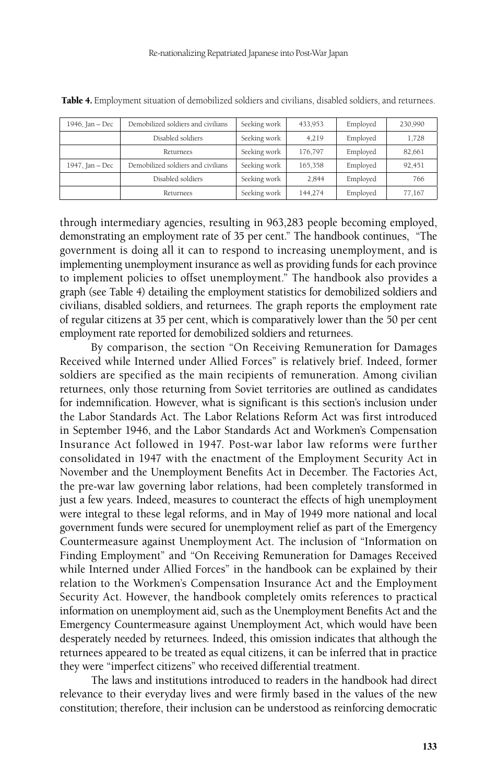| 1946, Jan - Dec | Demobilized soldiers and civilians | Seeking work | 433,953 | Employed | 230,990 |
|-----------------|------------------------------------|--------------|---------|----------|---------|
|                 | Disabled soldiers                  | Seeking work | 4,219   | Employed | 1,728   |
|                 | Returnees                          | Seeking work | 176,797 | Employed | 82,661  |
| 1947, Jan - Dec | Demobilized soldiers and civilians | Seeking work | 165,358 | Employed | 92,451  |
|                 | Disabled soldiers                  | Seeking work | 2,844   | Employed | 766     |
|                 | Returnees                          | Seeking work | 144,274 | Employed | 77,167  |

Table 4. Employment situation of demobilized soldiers and civilians, disabled soldiers, and returnees.

through intermediary agencies, resulting in 963,283 people becoming employed, demonstrating an employment rate of 35 per cent." The handbook continues, "The government is doing all it can to respond to increasing unemployment, and is implementing unemployment insurance as well as providing funds for each province to implement policies to offset unemployment." The handbook also provides a graph (see Table 4) detailing the employment statistics for demobilized soldiers and civilians, disabled soldiers, and returnees. The graph reports the employment rate of regular citizens at 35 per cent, which is comparatively lower than the 50 per cent employment rate reported for demobilized soldiers and returnees.

By comparison, the section "On Receiving Remuneration for Damages Received while Interned under Allied Forces" is relatively brief. Indeed, former soldiers are specified as the main recipients of remuneration. Among civilian returnees, only those returning from Soviet territories are outlined as candidates for indemnification. However, what is significant is this section's inclusion under the Labor Standards Act. The Labor Relations Reform Act was first introduced in September 1946, and the Labor Standards Act and Workmen's Compensation Insurance Act followed in 1947. Post-war labor law reforms were further consolidated in 1947 with the enactment of the Employment Security Act in November and the Unemployment Benefits Act in December. The Factories Act, the pre-war law governing labor relations, had been completely transformed in just a few years. Indeed, measures to counteract the effects of high unemployment were integral to these legal reforms, and in May of 1949 more national and local government funds were secured for unemployment relief as part of the Emergency Countermeasure against Unemployment Act. The inclusion of "Information on Finding Employment" and "On Receiving Remuneration for Damages Received while Interned under Allied Forces" in the handbook can be explained by their relation to the Workmen's Compensation Insurance Act and the Employment Security Act. However, the handbook completely omits references to practical information on unemployment aid, such as the Unemployment Benefits Act and the Emergency Countermeasure against Unemployment Act, which would have been desperately needed by returnees. Indeed, this omission indicates that although the returnees appeared to be treated as equal citizens, it can be inferred that in practice they were "imperfect citizens" who received differential treatment.

The laws and institutions introduced to readers in the handbook had direct relevance to their everyday lives and were firmly based in the values of the new constitution; therefore, their inclusion can be understood as reinforcing democratic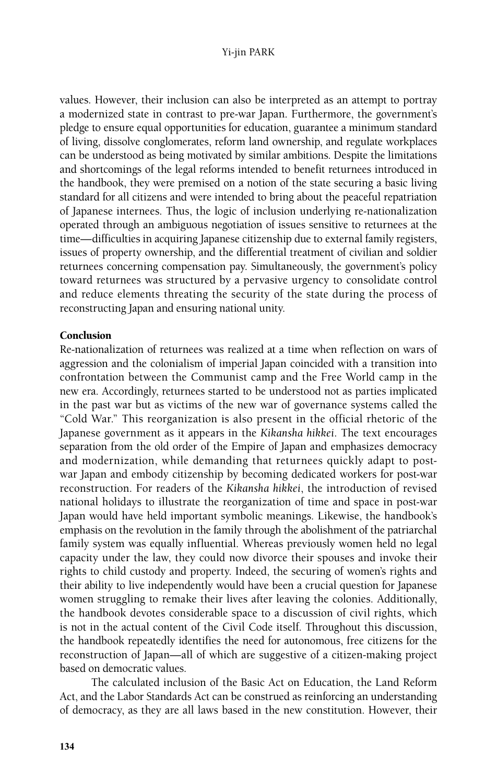values. However, their inclusion can also be interpreted as an attempt to portray a modernized state in contrast to pre-war Japan. Furthermore, the government's pledge to ensure equal opportunities for education, guarantee a minimum standard of living, dissolve conglomerates, reform land ownership, and regulate workplaces can be understood as being motivated by similar ambitions. Despite the limitations and shortcomings of the legal reforms intended to benefit returnees introduced in the handbook, they were premised on a notion of the state securing a basic living standard for all citizens and were intended to bring about the peaceful repatriation of Japanese internees. Thus, the logic of inclusion underlying re-nationalization operated through an ambiguous negotiation of issues sensitive to returnees at the time—difficulties in acquiring Japanese citizenship due to external family registers, issues of property ownership, and the differential treatment of civilian and soldier returnees concerning compensation pay. Simultaneously, the government's policy toward returnees was structured by a pervasive urgency to consolidate control and reduce elements threating the security of the state during the process of reconstructing Japan and ensuring national unity.

# Conclusion

Re-nationalization of returnees was realized at a time when reflection on wars of aggression and the colonialism of imperial Japan coincided with a transition into confrontation between the Communist camp and the Free World camp in the new era. Accordingly, returnees started to be understood not as parties implicated in the past war but as victims of the new war of governance systems called the "Cold War." This reorganization is also present in the official rhetoric of the Japanese government as it appears in the *Kikansha hikkei*. The text encourages separation from the old order of the Empire of Japan and emphasizes democracy and modernization, while demanding that returnees quickly adapt to postwar Japan and embody citizenship by becoming dedicated workers for post-war reconstruction. For readers of the *Kikansha hikkei*, the introduction of revised national holidays to illustrate the reorganization of time and space in post-war Japan would have held important symbolic meanings. Likewise, the handbook's emphasis on the revolution in the family through the abolishment of the patriarchal family system was equally influential. Whereas previously women held no legal capacity under the law, they could now divorce their spouses and invoke their rights to child custody and property. Indeed, the securing of women's rights and their ability to live independently would have been a crucial question for Japanese women struggling to remake their lives after leaving the colonies. Additionally, the handbook devotes considerable space to a discussion of civil rights, which is not in the actual content of the Civil Code itself. Throughout this discussion, the handbook repeatedly identifies the need for autonomous, free citizens for the reconstruction of Japan—all of which are suggestive of a citizen-making project based on democratic values.

The calculated inclusion of the Basic Act on Education, the Land Reform Act, and the Labor Standards Act can be construed as reinforcing an understanding of democracy, as they are all laws based in the new constitution. However, their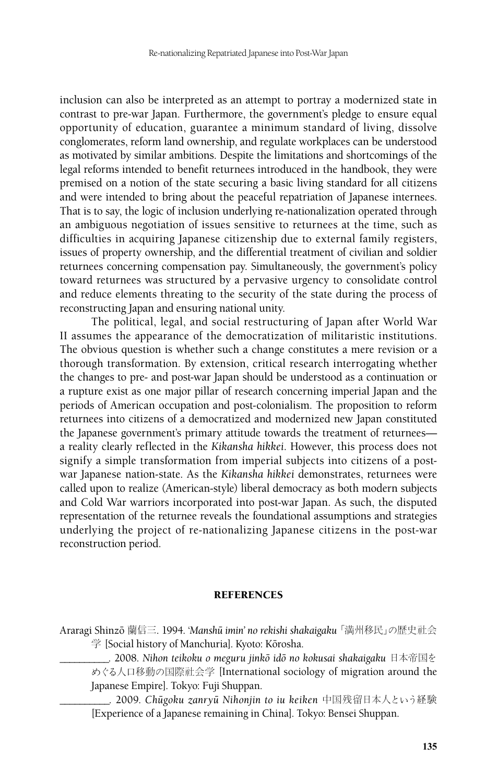inclusion can also be interpreted as an attempt to portray a modernized state in contrast to pre-war Japan. Furthermore, the government's pledge to ensure equal opportunity of education, guarantee a minimum standard of living, dissolve conglomerates, reform land ownership, and regulate workplaces can be understood as motivated by similar ambitions. Despite the limitations and shortcomings of the legal reforms intended to benefit returnees introduced in the handbook, they were premised on a notion of the state securing a basic living standard for all citizens and were intended to bring about the peaceful repatriation of Japanese internees. That is to say, the logic of inclusion underlying re-nationalization operated through an ambiguous negotiation of issues sensitive to returnees at the time, such as difficulties in acquiring Japanese citizenship due to external family registers, issues of property ownership, and the differential treatment of civilian and soldier returnees concerning compensation pay. Simultaneously, the government's policy toward returnees was structured by a pervasive urgency to consolidate control and reduce elements threating to the security of the state during the process of reconstructing Japan and ensuring national unity.

The political, legal, and social restructuring of Japan after World War II assumes the appearance of the democratization of militaristic institutions. The obvious question is whether such a change constitutes a mere revision or a thorough transformation. By extension, critical research interrogating whether the changes to pre- and post-war Japan should be understood as a continuation or a rupture exist as one major pillar of research concerning imperial Japan and the periods of American occupation and post-colonialism. The proposition to reform returnees into citizens of a democratized and modernized new Japan constituted the Japanese government's primary attitude towards the treatment of returnees a reality clearly reflected in the *Kikansha hikkei*. However, this process does not signify a simple transformation from imperial subjects into citizens of a postwar Japanese nation-state. As the *Kikansha hikkei* demonstrates, returnees were called upon to realize (American-style) liberal democracy as both modern subjects and Cold War warriors incorporated into post-war Japan. As such, the disputed representation of the returnee reveals the foundational assumptions and strategies underlying the project of re-nationalizing Japanese citizens in the post-war reconstruction period.

#### **REFERENCES**

Araragi Shinzoˉ 蘭信三. 1994. '*Manshuˉ imin' no rekishi shakaigaku* 「満州移民」の歴史社会 学 [Social history of Manchuria]. Kyoto: Kōrosha.

\_\_\_\_\_\_\_\_\_\_. 2008. *Nihon teikoku o meguru jinkoˉ idoˉ no kokusai shakaigaku* 日本帝国を めぐる人口移動の国際社会学 [International sociology of migration around the Japanese Empire]. Tokyo: Fuji Shuppan.

\_\_\_\_\_\_\_\_\_\_. 2009. *Chuˉgoku zanryuˉ Nihonjin to iu keiken* 中国残留日本人という経験 [Experience of a Japanese remaining in China]. Tokyo: Bensei Shuppan.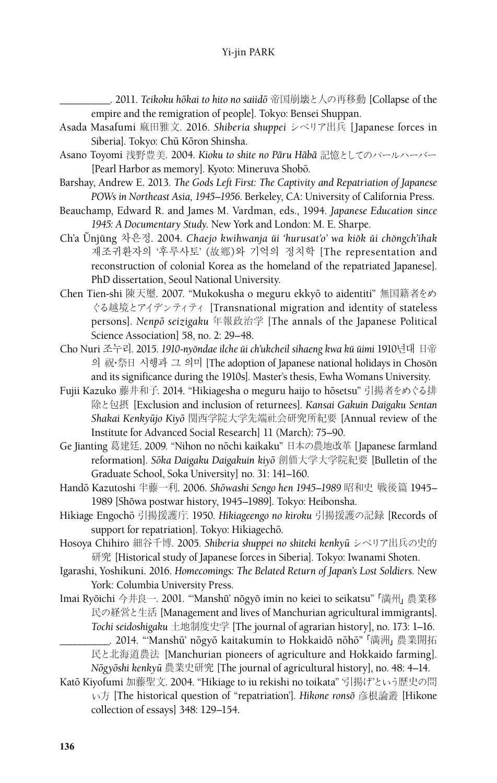\_\_\_\_\_\_\_\_\_\_. 2011. *Teikoku hoˉkai to hito no saiidoˉ* 帝国崩壊と人の再移動 [Collapse of the empire and the remigration of people]. Tokyo: Bensei Shuppan.

- Asada Masafumi 麻田雅文. 2016. *Shiberia shuppei* シベリア出兵 [Japanese forces in Siberia]. Tokyo: Chū Kōron Shinsha.
- Asano Toyomi 浅野豊美. 2004. *Kioku to shite no Pāru Hābā* 記憶としてのパールハーバー [Pearl Harbor as memory]. Kyoto: Mineruva Shobō.
- Barshay, Andrew E. 2013. *The Gods Left First: The Captivity and Repatriation of Japanese POWs in Northeast Asia, 1945–1956*. Berkeley, CA: University of California Press.
- Beauchamp, Edward R. and James M. Vardman, eds., 1994. *Japanese Education since 1945: A Documentary Study*. New York and London: M. E. Sharpe.
- Ch'a U˘ nju˘ ng 차은정. 2004. *Chaejo kwihwanja u˘i 'hurusat'o' wa kio˘k u˘i cho˘ngch'ihak*  재조귀환자의 '후루사토' (故鄕)와 기억의 정치학 [The representation and reconstruction of colonial Korea as the homeland of the repatriated Japanese]. PhD dissertation, Seoul National University.
- Chen Tien-shi 陳天璽. 2007. "Mukokusha o meguru ekkyoˉ to aidentiti" 無国籍者をめ ぐる越境とアイデンティティ [Transnational migration and identity of stateless persons]. *Nenpoˉ seizigaku* 年報政治学 [The annals of the Japanese Political Science Association] 58, no. 2: 29–48.
- Cho Nuri 조누리. 2015. *1910-nyo˘ndae ilche u˘i ch'ukcheil sihaeng kwa ku˘ u˘imi* 1910년대 日帝 의 祝·祭日 시행과 그 의미 [The adoption of Japanese national holidays in Chosŏn and its significance during the 1910s]. Master's thesis, Ewha Womans University.
- Fujii Kazuko 藤井和子. 2014. "Hikiagesha o meguru haijo to hōsetsu" 引揚者をめぐる排 除と包摂 [Exclusion and inclusion of returnees]. *Kansai Gakuin Daigaku Sentan Shakai Kenkyuˉjo Kiyoˉ* 関西学院大学先端社会研究所紀要 [Annual review of the Institute for Advanced Social Research] 11 (March): 75–90.
- Ge Jianting 葛建廷. 2009. "Nihon no nōchi kaikaku" 日本の農地改革 [Japanese farmland reformation]. *Soˉka Daigaku Daigakuin kiyoˉ* 創価大学大学院紀要 [Bulletin of the Graduate School, Soka University] no. 31: 141–160.
- Handō Kazutoshi 半藤一利. 2006. Shōwashi Sengo hen 1945–1989 昭和史 戦後篇 1945– 1989 [Shōwa postwar history, 1945–1989]. Tokyo: Heibonsha.
- Hikiage Engochoˉ 引揚援護庁. 1950. *Hikiageengo no kiroku* 引揚援護の記録 [Records of support for repatriation]. Tokyo: Hikiagechō.
- Hosoya Chihiro 細谷千博. 2005. *Shiberia shuppei no shiteki kenkyuˉ* シベリア出兵の史的 研究 [Historical study of Japanese forces in Siberia]. Tokyo: Iwanami Shoten.
- Igarashi, Yoshikuni. 2016. *Homecomings: The Belated Return of Japan's Lost Soldiers.* New York: Columbia University Press.
- Imai Ryōichi 今井良一. 2001. "'Manshū' nōgyō imin no keiei to seikatsu" 「満州」農業移 民の経営と生活 [Management and lives of Manchurian agricultural immigrants]. *Tochi seidoshigaku* 土地制度史学 [The journal of agrarian history], no. 173: 1–16.

\_\_\_\_\_\_\_\_\_\_. 2014. "'Manshuˉ' noˉgyoˉ kaitakumin to Hokkaidoˉ noˉhoˉ"「満洲」農業開拓 民と北海道農法 [Manchurian pioneers of agriculture and Hokkaido farming]. *Noˉgyoˉshi kenkyuˉ* 農業史研究 [The journal of agricultural history], no. 48: 4–14.

Katō Kiyofumi 加藤聖文. 2004. "Hikiage to iu rekishi no toikata" 引揚げという歴史の問 い方 [The historical question of "repatriation']. *Hikone ronsoˉ* 彦根論叢 [Hikone collection of essays] 348: 129–154.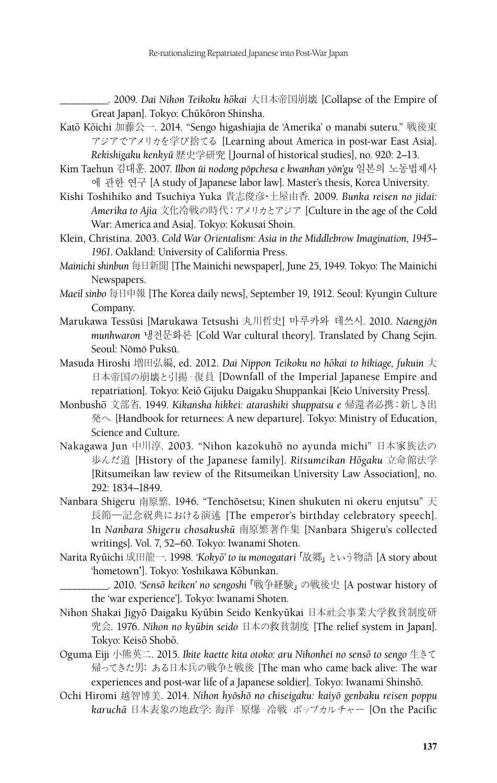\_\_\_\_\_\_\_\_\_\_. 2009. *Dai Nihon Teikoku hoˉkai* 大日本帝国崩壊 [Collapse of the Empire of Great Japan]. Tokyo: Chūkōron Shinsha.

- Katō Kōichi 加藤公一. 2014. "Sengo higashiajia de 'Amerika' o manabi suteru." 戦後東 アジアでアメリカを学び捨てる [Learning about America in post-war East Asia]. *Rekishigaku kenkyuˉ* 歴史学研究 [Journal of historical studies], no. 920: 2–13.
- Kim Taehun 김대훈. 2007. *Ilbon ŭi nodong pŏpchesa e kwanhan yŏn'gu* 일본의 노동법제사 에 관한 연구 [A study of Japanese labor law]. Master's thesis, Korea University.
- Kishi Toshihiko and Tsuchiya Yuka 貴志俊彦・土屋由香. 2009. *Bunka reisen no jidai: Amerika to Ajia* 文化冷戦の時代:アメリカとアジア [Culture in the age of the Cold War: America and Asia]. Tokyo: Kokusai Shoin.
- Klein, Christina. 2003. *Cold War Orientalism: Asia in the Middlebrow Imagination, 1945– 1961*. Oakland: University of California Press.
- *Mainichi shinbun* 毎日新聞 [The Mainichi newspaper], June 25, 1949. Tokyo: The Mainichi Newspapers.
- *Maeil sinbo* 每日申報 [The Korea daily news], September 19, 1912. Seoul: Kyungin Culture Company.
- Marukawa Tessŭsi [Marukawa Tetsushi 丸川哲史] 마루카와 데쓰시. 2010. *Naengjŏn munhwaron* 냉전문화론 [Cold War cultural theory]. Translated by Chang Sejin. Seoul: Nŏmŏ Puksŭ.
- Masuda Hiroshi 増田弘編, ed. 2012. *Dai Nippon Teikoku no hōkai to hikiage, fukuin* 大 日本帝国の崩壊と引揚・復員 [Downfall of the Imperial Japanese Empire and repatriation]. Tokyo: Keiō Gijuku Daigaku Shuppankai [Keio University Press].
- Monbushoˉ 文部省. 1949. *Kikansha hikkei: atarashiki shuppatsu e* 帰還者必携:新しき出 発へ [Handbook for returnees: A new departure]. Tokyo: Ministry of Education, Science and Culture.
- Nakagawa Jun 中川淳. 2003. "Nihon kazokuhō no ayunda michi" 日本家族法の 歩んだ道 [History of the Japanese family]. Ritsumeikan Hōgaku 立命館法学 [Ritsumeikan law review of the Ritsumeikan University Law Association], no. 292: 1834–1849.
- Nanbara Shigeru 南原繁. 1946. "Tenchōsetsu; Kinen shukuten ni okeru enjutsu" 天 長節―記念祝典における演述 [The emperor's birthday celebratory speech]. In *Nanbara Shigeru chosakushuˉ* 南原繁著作集 [Nanbara Shigeru's collected writings]. Vol. 7, 52–60. Tokyo: Iwanami Shoten.
- Narita Ryūichi 成田龍一. 1998. *'Kokyō' to iu monogatari* 「故郷」 という物語 [A story about 'hometown']. Tokyo: Yoshikawa Kōbunkan.
	- \_\_\_\_\_\_\_\_\_\_. 2010. *'Sensoˉ keiken' no sengoshi*「戦争経験」の戦後史 [A postwar history of the 'war experience']. Tokyo: Iwanami Shoten.
- Nihon Shakai Jigyō Daigaku Kyūbin Seido Kenkyūkai 日本社会事業大学救貧制度研 究会. 1976. *Nihon no kyuˉbin seido* 日本の救貧制度 [The relief system in Japan]. Tokyo: Keisō Shobō.
- Oguma Eiji 小熊英二. 2015. *Ikite kaette kita otoko: aru Nihonhei no sensoˉ to sengo* 生きて 帰ってきた男: ある日本兵の戦争と戦後 [The man who came back alive: The war experiences and post-war life of a Japanese soldier]. Tokyo: Iwanami Shinshō.
- Ochi Hiromi 越智博美. 2014. *Nihon hyōshō no chiseigaku: kaiyō genbaku reisen poppu karuchaˉ* 日本表象の地政学: 海洋・原爆・冷戦・ポップカルチャー [On the Pacific